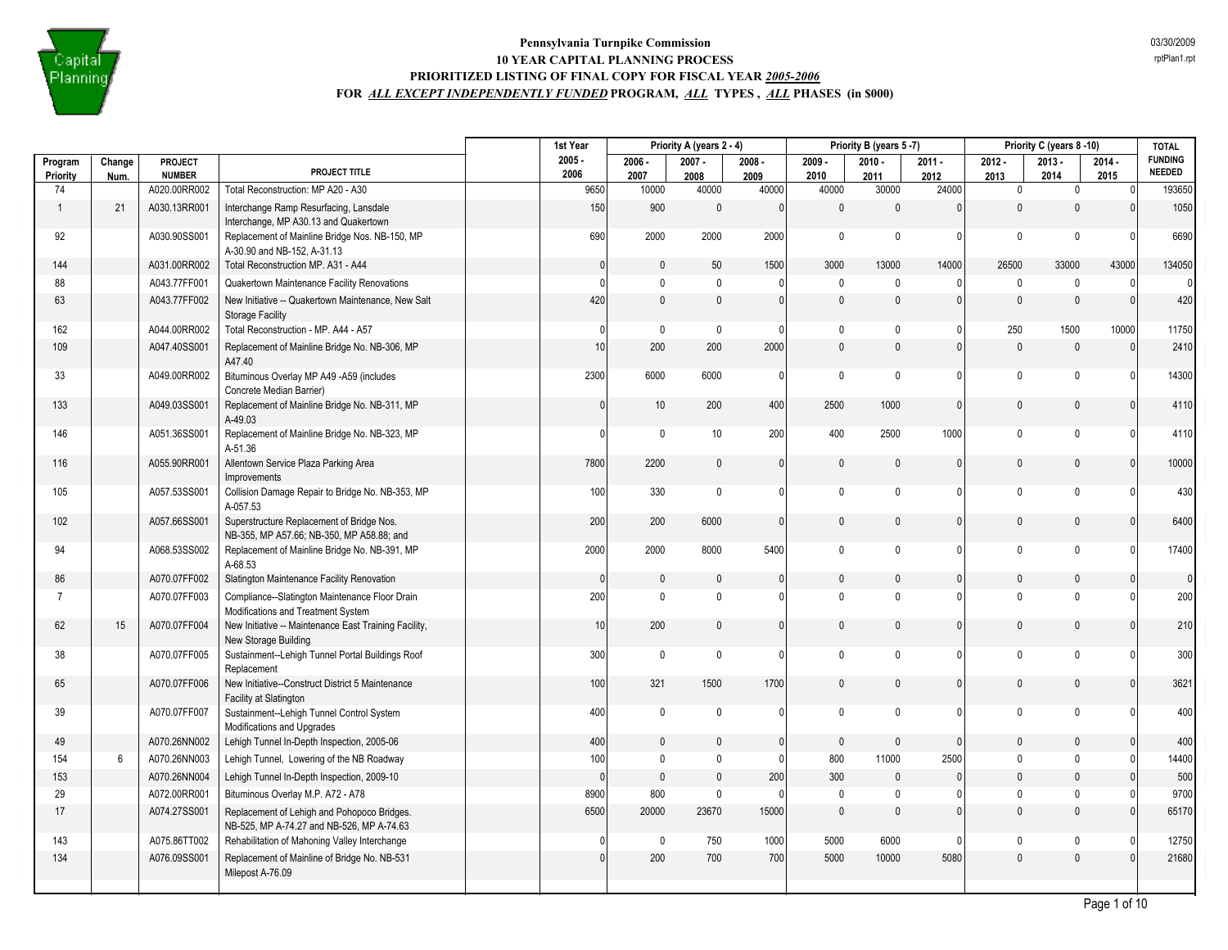

|                     |                |                          |                                                                                          | 1st Year         |                  | Priority A (years 2 - 4) |                  |                  | Priority B (years 5-7) |                  |                  | Priority C (years 8-10) |                  | <b>TOTAL</b>                    |
|---------------------|----------------|--------------------------|------------------------------------------------------------------------------------------|------------------|------------------|--------------------------|------------------|------------------|------------------------|------------------|------------------|-------------------------|------------------|---------------------------------|
| Program<br>Priority | Change<br>Num. | PROJECT<br><b>NUMBER</b> | PROJECT TITLE                                                                            | $2005 -$<br>2006 | $2006 -$<br>2007 | $2007 -$<br>2008         | $2008 -$<br>2009 | $2009 -$<br>2010 | $2010 -$<br>2011       | $2011 -$<br>2012 | $2012 -$<br>2013 | $2013 -$<br>2014        | $2014 -$<br>2015 | <b>FUNDING</b><br><b>NEEDED</b> |
| 74                  |                | A020.00RR002             | Total Reconstruction: MP A20 - A30                                                       | 9650             | 10000            | 40000                    | 40000            | 40000            | 30000                  | 24000            | $\mathbf 0$      | $\mathbf 0$             | $\Omega$         | 193650                          |
| -1                  | 21             | A030.13RR001             | Interchange Ramp Resurfacing, Lansdale<br>Interchange, MP A30.13 and Quakertown          | 150              | 900              | $\mathbf{0}$             | $\Omega$         | $\mathbf{0}$     | $\mathbf{0}$           | $\mathbf{0}$     | $\mathbf{0}$     | $\theta$                | $\Omega$         | 1050                            |
| 92                  |                | A030.90SS001             | Replacement of Mainline Bridge Nos. NB-150, MP<br>A-30.90 and NB-152, A-31.13            | 690              | 2000             | 2000                     | 2000             | $\mathbf 0$      | $\mathbf{0}$           | $\mathbf{0}$     | $\mathbf 0$      | $\mathbf 0$             |                  | 6690                            |
| 144                 |                | A031.00RR002             | Total Reconstruction MP. A31 - A44                                                       | $\overline{0}$   | $\mathbf 0$      | 50                       | 1500             | 3000             | 13000                  | 14000            | 26500            | 33000                   | 43000            | 134050                          |
| 88                  |                | A043.77FF001             | Quakertown Maintenance Facility Renovations                                              | $\Omega$         | $\mathbf 0$      | $\mathbf{0}$             | $\Omega$         | $\mathbf 0$      | $\Omega$               | 0                | $\mathbf{0}$     | $\mathbf 0$             | $\Omega$         | $\Omega$                        |
| 63                  |                | A043.77FF002             | New Initiative -- Quakertown Maintenance, New Salt<br><b>Storage Facility</b>            | 420              | $\mathbf 0$      | $\mathbf 0$              | $\mathbf{0}$     | $\mathbf{0}$     | $\mathbf{0}$           | $\mathbf{0}$     | $\mathbf{0}$     | $\mathbf{0}$            | $\Omega$         | 420                             |
| 162                 |                | A044.00RR002             | Total Reconstruction - MP. A44 - A57                                                     | $\mathbf{0}$     | $\mathbf 0$      | $\mathbf 0$              | $\Omega$         | $\mathbf 0$      | $\mathbf{0}$           | $\mathbf{0}$     | 250              | 1500                    | 10000            | 11750                           |
| 109                 |                | A047.40SS001             | Replacement of Mainline Bridge No. NB-306, MP<br>A47.40                                  | 10               | 200              | 200                      | 2000             | $\mathbf{0}$     | $\mathbf{0}$           | $\mathbf{0}$     | $\mathbf{0}$     | $\mathbf 0$             | $\Omega$         | 2410                            |
| 33                  |                | A049.00RR002             | Bituminous Overlay MP A49 -A59 (includes<br>Concrete Median Barrier)                     | 2300             | 6000             | 6000                     | $\Omega$         | $\mathsf{O}$     | $\mathbf 0$            | $\mathbf{0}$     | $\mathbf 0$      | $\mathbf 0$             |                  | 14300                           |
| 133                 |                | A049.03SS001             | Replacement of Mainline Bridge No. NB-311, MP<br>A-49.03                                 | $\mathbf{0}$     | $10$             | 200                      | 400              | 2500             | 1000                   | $\mathbf{0}$     | $\mathbf{0}$     | $\theta$                |                  | 4110                            |
| 146                 |                | A051.36SS001             | Replacement of Mainline Bridge No. NB-323, MP<br>A-51.36                                 | $\theta$         | $\mathbf 0$      | 10                       | 200              | 400              | 2500                   | 1000             | $\mathbf 0$      | $\mathbf{0}$            |                  | 4110                            |
| 116                 |                | A055.90RR001             | Allentown Service Plaza Parking Area<br>Improvements                                     | 7800             | 2200             | $\mathbf 0$              | $\mathbf{0}$     | $\mathbf{0}$     | $\mathbf{0}$           | $\mathbf{0}$     | $\mathbf{0}$     | $\mathbf{0}$            | $\Omega$         | 10000                           |
| 105                 |                | A057.53SS001             | Collision Damage Repair to Bridge No. NB-353, MP<br>A-057.53                             | 100              | 330              | $\mathbf 0$              | $\Omega$         | $\mathbf 0$      | $\mathbf{0}$           | $\Omega$         | $\mathbf 0$      | $\mathbf{0}$            |                  | 430                             |
| 102                 |                | A057.66SS001             | Superstructure Replacement of Bridge Nos.<br>NB-355, MP A57.66; NB-350, MP A58.88; and   | 200              | 200              | 6000                     | $\Omega$         | $\mathbf{0}$     | $\mathbf{0}$           | $\mathbf{0}$     | $\mathbf{0}$     | $\mathbf{0}$            | $\Omega$         | 6400                            |
| 94                  |                | A068.53SS002             | Replacement of Mainline Bridge No. NB-391, MP<br>A-68.53                                 | 2000             | 2000             | 8000                     | 5400             | $\mathbf 0$      | $\mathbf{0}$           | $\mathbf{0}$     | $\mathbf 0$      | $\mathbf{0}$            |                  | 17400                           |
| 86                  |                | A070.07FF002             | Slatington Maintenance Facility Renovation                                               | $\overline{0}$   | $\mathbf 0$      | $\mathbf{0}$             | $\Omega$         | $\mathbf{0}$     | $\mathbf{0}$           | $\mathbf{0}$     | $\mathbf{0}$     | $\mathbf{0}$            | $\Omega$         | $\overline{0}$                  |
| $\overline{7}$      |                | A070.07FF003             | Compliance--Slatington Maintenance Floor Drain<br>Modifications and Treatment System     | 200              | $\mathbf 0$      | $\mathbf 0$              | $\Omega$         | $\mathbf{0}$     | $\mathbf{0}$           | $\mathbf{0}$     | $\mathbf 0$      | $\mathbf{0}$            |                  | 200                             |
| 62                  | 15             | A070.07FF004             | New Initiative -- Maintenance East Training Facility,<br>New Storage Building            | 10               | 200              | $\mathbf 0$              | $\overline{0}$   | $\mathbf{0}$     | $\mathbf{0}$           | $\mathbf{0}$     | $\mathbf{0}$     | $\mathbf{0}$            | $\Omega$         | 210                             |
| 38                  |                | A070.07FF005             | Sustainment--Lehigh Tunnel Portal Buildings Roof<br>Replacement                          | 300              | $\mathbf 0$      | $\mathbf 0$              | $\Omega$         | $\mathbf 0$      | $\mathbf{0}$           | $\mathbf{0}$     | $\mathbf 0$      | $\mathbf 0$             |                  | 300                             |
| 65                  |                | A070.07FF006             | New Initiative--Construct District 5 Maintenance<br>Facility at Slatington               | 100              | 321              | 1500                     | 1700             | $\mathbf 0$      | $\mathbf{0}$           | $\mathbf{0}$     | $\mathbf{0}$     | $\mathbf{0}$            | $\Omega$         | 3621                            |
| 39                  |                | A070.07FF007             | Sustainment--Lehigh Tunnel Control System<br>Modifications and Upgrades                  | 400              | $\mathbf 0$      | $\mathbf{0}$             | $\Omega$         | $\mathbf 0$      | $\mathbf{0}$           | $\mathbf{0}$     | $\mathbf 0$      | $\Omega$                |                  | 400                             |
| 49                  |                | A070.26NN002             | Lehigh Tunnel In-Depth Inspection, 2005-06                                               | 400              | $\mathbf 0$      | $\mathbf{0}$             | $\mathbf{0}$     | $\mathbf{0}$     | $\mathbf{0}$           | $\mathbf{0}$     | $\mathbf{0}$     | $\mathbf{0}$            | $\Omega$         | 400                             |
| 154                 | 6              | A070.26NN003             | Lehigh Tunnel, Lowering of the NB Roadway                                                | 100              | $\mathbf 0$      | $\mathsf{0}$             | $\mathbf{0}$     | 800              | 11000                  | 2500             | $\mathbf 0$      | $\mathbf 0$             | n                | 14400                           |
| 153                 |                | A070.26NN004             | Lehigh Tunnel In-Depth Inspection, 2009-10                                               | $\mathbf{0}$     | $\mathbf{0}$     | $\mathbf 0$              | 200              | 300              | $\mathbf{0}$           | $\mathbf{0}$     | $\mathbf{0}$     | $\mathbf{0}$            |                  | 500                             |
| 29                  |                | A072.00RR001             | Bituminous Overlay M.P. A72 - A78                                                        | 8900             | 800              | $\mathbf{0}$             | $\Omega$         | $\mathbf{0}$     | $\mathbf 0$            | $\Omega$         | $\mathbf{0}$     | $\Omega$                |                  | 9700                            |
| 17                  |                | A074.27SS001             | Replacement of Lehigh and Pohopoco Bridges.<br>NB-525, MP A-74.27 and NB-526, MP A-74.63 | 6500             | 20000            | 23670                    | 15000            | $\mathbf{0}$     | $\mathbf{0}$           | $\mathbf{0}$     | $\mathbf{0}$     | $\mathbf{0}$            |                  | 65170                           |
| 143                 |                | A075.86TT002             | Rehabilitation of Mahoning Valley Interchange                                            | 0                | $\mathbf 0$      | 750                      | 1000             | 5000             | 6000                   | $\mathbf{0}$     | $\mathbf 0$      | $\mathbf 0$             |                  | 12750                           |
| 134                 |                | A076.09SS001             | Replacement of Mainline of Bridge No. NB-531<br>Milepost A-76.09                         | $\mathbf{0}$     | 200              | 700                      | 700              | 5000             | 10000                  | 5080             | $\mathbf 0$      | $\mathbf{0}$            |                  | 21680                           |
|                     |                |                          |                                                                                          |                  |                  |                          |                  |                  |                        |                  |                  |                         |                  |                                 |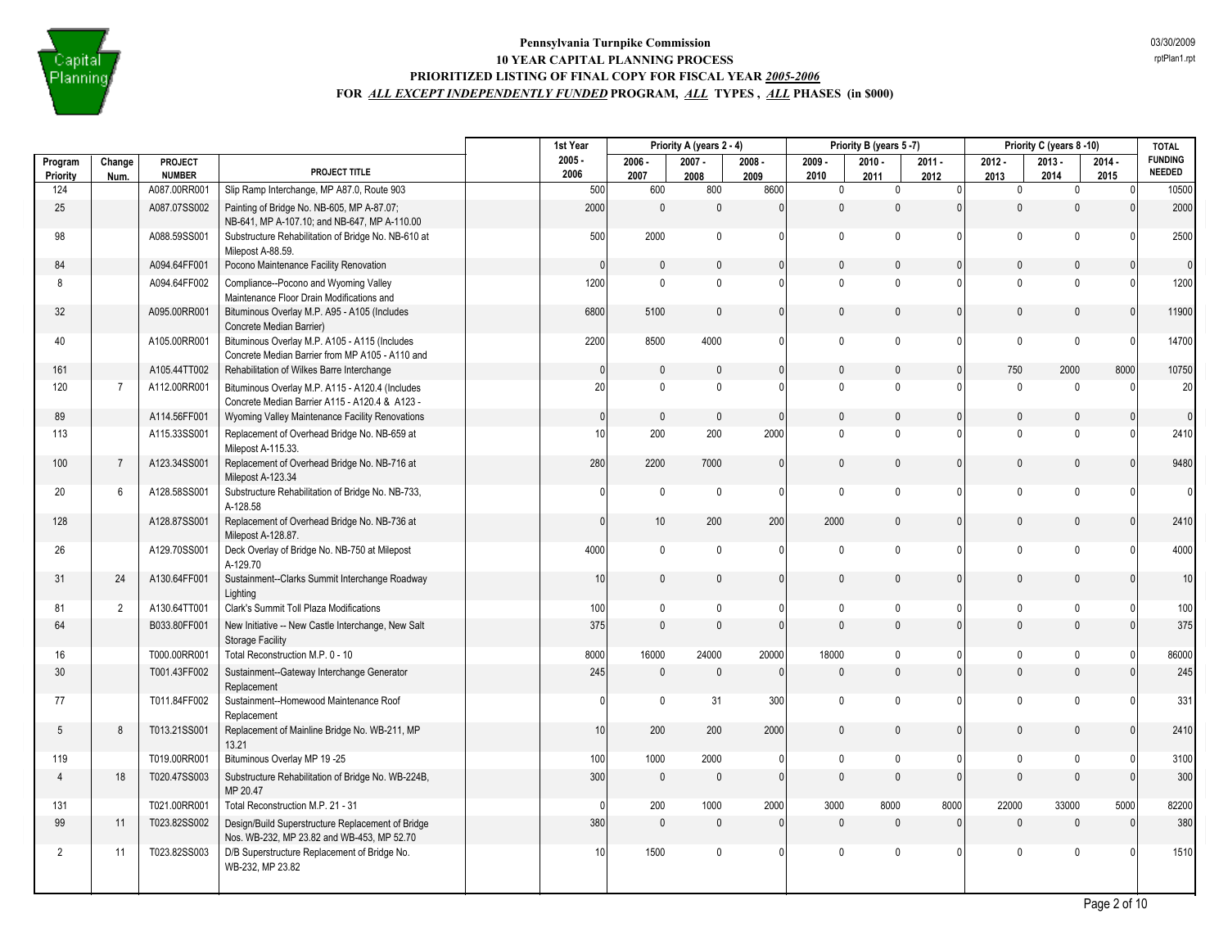

|                     |                |                                 |                                                                                                   | 1st Year         |                  | Priority A (years 2 - 4) |                  |                  | Priority B (years 5-7) |                  |                  | Priority C (years 8-10) |                  | <b>TOTAL</b>                    |
|---------------------|----------------|---------------------------------|---------------------------------------------------------------------------------------------------|------------------|------------------|--------------------------|------------------|------------------|------------------------|------------------|------------------|-------------------------|------------------|---------------------------------|
| Program<br>Priority | Change<br>Num. | <b>PROJECT</b><br><b>NUMBER</b> | PROJECT TITLE                                                                                     | $2005 -$<br>2006 | $2006 -$<br>2007 | $2007 -$<br>2008         | $2008 -$<br>2009 | $2009 -$<br>2010 | $2010 -$<br>2011       | $2011 -$<br>2012 | $2012 -$<br>2013 | $2013 -$<br>2014        | $2014 -$<br>2015 | <b>FUNDING</b><br><b>NEEDED</b> |
| 124                 |                | A087.00RR001                    | Slip Ramp Interchange, MP A87.0, Route 903                                                        | 500              | 600              | 800                      | 8600             | $\mathbf 0$      | $\mathbf 0$            | $\overline{0}$   | $\mathbf 0$      | $\mathbf 0$             | 0                | 10500                           |
| 25                  |                | A087.07SS002                    | Painting of Bridge No. NB-605, MP A-87.07;<br>NB-641, MP A-107.10; and NB-647, MP A-110.00        | 2000             | $\mathbb O$      | 0                        | $\mathbf{0}$     | $\mathbf{0}$     | $\mathbf 0$            | $\mathbf{0}$     | $\pmb{0}$        | $\mathbf{0}$            | $\mathbf{0}$     | 2000                            |
| 98                  |                | A088.59SS001                    | Substructure Rehabilitation of Bridge No. NB-610 at<br>Milepost A-88.59.                          | 500              | 2000             | 0                        | $\mathbf{0}$     | 0                | $\mathbf 0$            | 0                | $\mathbf 0$      | $\mathbf 0$             | $\Omega$         | 2500                            |
| 84                  |                | A094.64FF001                    | Pocono Maintenance Facility Renovation                                                            | $\mathbf{0}$     | $\mathbb O$      | 0                        | $\mathbf{0}$     | $\mathbf{0}$     | $\mathbf 0$            | 0                | $\mathbf{0}$     | $\mathbf{0}$            | $\mathbf{0}$     | $\overline{0}$                  |
| 8                   |                | A094.64FF002                    | Compliance--Pocono and Wyoming Valley<br>Maintenance Floor Drain Modifications and                | 1200             | $\mathbf 0$      | $\mathbf 0$              | $\mathbf{0}$     | $\mathbf{0}$     | $\mathbf 0$            | 0                | $\mathbf 0$      | $\mathbf{0}$            | $\Omega$         | 1200                            |
| 32                  |                | A095.00RR001                    | Bituminous Overlay M.P. A95 - A105 (Includes<br>Concrete Median Barrier)                          | 6800             | 5100             | $\mathbf{0}$             | $\Omega$         | 0                | $\mathbf{0}$           | $\Omega$         | $\mathbf{0}$     | $\Omega$                | $\mathbf{0}$     | 11900                           |
| 40                  |                | A105.00RR001                    | Bituminous Overlay M.P. A105 - A115 (Includes<br>Concrete Median Barrier from MP A105 - A110 and  | 2200             | 8500             | 4000                     | $\Omega$         | $\mathbf 0$      | $\mathbf 0$            | 0                | $\mathbf 0$      | $\mathbf{0}$            | $\Omega$         | 14700                           |
| 161                 |                | A105.44TT002                    | Rehabilitation of Wilkes Barre Interchange                                                        | $\Omega$         | $\mathbf{0}$     | $\Omega$                 | $\Omega$         | $\Omega$         | $\mathbf{0}$           | $\Omega$         | 750              | 2000                    | 8000             | 10750                           |
| 120                 | $\overline{7}$ | A112.00RR001                    | Bituminous Overlay M.P. A115 - A120.4 (Includes<br>Concrete Median Barrier A115 - A120.4 & A123 - | 20               | $\mathbf 0$      | $\mathbf 0$              | $\mathbf{0}$     | $\mathbf 0$      | $\mathbf 0$            | 0                | $\mathbf 0$      | $\mathbf{0}$            | $\Omega$         | 20                              |
| 89                  |                | A114.56FF001                    | Wyoming Valley Maintenance Facility Renovations                                                   | $\mathbf{0}$     | $\mathbb O$      | 0                        | $\mathbf{0}$     | $\mathbf{0}$     | $\pmb{0}$              | $\mathbf{0}$     | $\mathbf{0}$     | $\Omega$                | $\mathbf{0}$     | $\circ$                         |
| 113                 |                | A115.33SS001                    | Replacement of Overhead Bridge No. NB-659 at<br>Milepost A-115.33.                                | 10               | 200              | 200                      | 2000             | $\mathbf{0}$     | $\mathbf 0$            | 0                | $\mathbf{0}$     | $\mathbf{0}$            | $\Omega$         | 2410                            |
| 100                 | $\overline{7}$ | A123.34SS001                    | Replacement of Overhead Bridge No. NB-716 at<br>Milepost A-123.34                                 | 280              | 2200             | 7000                     | $\mathbf{0}$     | $\mathbf{0}$     | $\mathbf{0}$           | $\Omega$         | $\mathbf{0}$     | $\mathbf{0}$            | $\mathbf{0}$     | 9480                            |
| 20                  | 6              | A128.58SS001                    | Substructure Rehabilitation of Bridge No. NB-733,<br>A-128.58                                     | $\Omega$         | $\mathbf 0$      | $\mathbf 0$              | $\mathbf{0}$     | $\mathbf 0$      | $\mathbf 0$            | U                | $\mathbf 0$      | $\mathbf{0}$            | $\Omega$         | $\mathbf{0}$                    |
| 128                 |                | A128.87SS001                    | Replacement of Overhead Bridge No. NB-736 at<br>Milepost A-128.87.                                | $\mathbf{0}$     | 10               | 200                      | 200              | 2000             | $\mathbf{0}$           | 0                | $\mathbf{0}$     | $\mathbf{0}$            | $\Omega$         | 2410                            |
| 26                  |                | A129.70SS001                    | Deck Overlay of Bridge No. NB-750 at Milepost<br>A-129.70                                         | 4000             | $\mathbf 0$      | 0                        | $\mathbf{0}$     | $\mathbf{0}$     | $\mathbf 0$            | 0                | $\mathbf 0$      | $\Omega$                |                  | 4000                            |
| 31                  | 24             | A130.64FF001                    | Sustainment--Clarks Summit Interchange Roadway<br>Lighting                                        | 10               | $\mathbf 0$      | 0                        | $\mathbf{0}$     | $\mathbf{0}$     | $\mathbf{0}$           | 0                | $\mathbf{0}$     | $\mathbf{0}$            | $\Omega$         | 10                              |
| 81                  | $\overline{2}$ | A130.64TT001                    | Clark's Summit Toll Plaza Modifications                                                           | 100              | $\mathbf 0$      | $\mathbf 0$              | $\Omega$         | $\mathbf 0$      | $\mathbf 0$            | 0                | $\mathbf 0$      | $\mathbf 0$             | $\Omega$         | 100                             |
| 64                  |                | B033.80FF001                    | New Initiative -- New Castle Interchange, New Salt<br><b>Storage Facility</b>                     | 375              | $\mathbb O$      | $\pmb{0}$                | $\Omega$         | $\Omega$         | $\mathbf 0$            | $\Omega$         | $\mathbf{0}$     | $\mathbf 0$             | $\Omega$         | 375                             |
| 16                  |                | T000.00RR001                    | Total Reconstruction M.P. 0 - 10                                                                  | 8000             | 16000            | 24000                    | 20000            | 18000            | $\pmb{0}$              | 0                | $\mathbf 0$      | $\mathbf 0$             | $\mathbf{0}$     | 86000                           |
| 30                  |                | T001.43FF002                    | Sustainment--Gateway Interchange Generator<br>Replacement                                         | 245              | $\mathbf 0$      | $\mathbf 0$              | $\mathbf{0}$     | $\mathbf{0}$     | $\mathbf{0}$           | 0                | $\mathbf{0}$     | $\mathbf{0}$            | $\Omega$         | 245                             |
| 77                  |                | T011.84FF002                    | Sustainment--Homewood Maintenance Roof<br>Replacement                                             | 0                | $\mathbf 0$      | 31                       | 300              | $\mathbf 0$      | $\mathbf 0$            | 0                | $\mathbf 0$      | $\mathbf 0$             | $\Omega$         | 331                             |
| 5                   | 8              | T013.21SS001                    | Replacement of Mainline Bridge No. WB-211, MP<br>13.21                                            | 10               | 200              | 200                      | 2000             | 0                | $\mathbf{0}$           | $\Omega$         | $\mathbf{0}$     | $\mathbf{0}$            | $\Omega$         | 2410                            |
| 119                 |                | T019.00RR001                    | Bituminous Overlay MP 19 -25                                                                      | 100              | 1000             | 2000                     | $\mathbf{0}$     | $\mathbf 0$      | $\mathbf 0$            | 0                | $\mathbf 0$      | $\mathbf 0$             | $\mathbf{0}$     | 3100                            |
| $\overline{4}$      | 18             | T020.47SS003                    | Substructure Rehabilitation of Bridge No. WB-224B,<br>MP 20.47                                    | 300              | $\mathbb O$      | $\mathbf{0}$             | $\Omega$         | $\mathbf{0}$     | $\mathbf{0}$           | $\Omega$         | $\mathbf{0}$     | $\mathbf{0}$            | $\Omega$         | 300                             |
| 131                 |                | T021.00RR001                    | Total Reconstruction M.P. 21 - 31                                                                 | $\Omega$         | 200              | 1000                     | 2000             | 3000             | 8000                   | 8000             | 22000            | 33000                   | 5000             | 82200                           |
| 99                  | 11             | T023.82SS002                    | Design/Build Superstructure Replacement of Bridge<br>Nos. WB-232, MP 23.82 and WB-453, MP 52.70   | 380              | $\mathbf 0$      | 0                        | $\mathbf{0}$     | $\mathbf{0}$     | $\pmb{0}$              | 0                | $\mathbf{0}$     | $\mathbf{0}$            | $\Omega$         | 380                             |
| 2                   | 11             | T023.82SS003                    | D/B Superstructure Replacement of Bridge No.<br>WB-232, MP 23.82                                  | 10               | 1500             | 0                        | $\mathbf{0}$     | $\mathbf{0}$     | $\mathbf 0$            | 0                | $\mathbf 0$      | $\Omega$                |                  | 1510                            |
|                     |                |                                 |                                                                                                   |                  |                  |                          |                  |                  |                        |                  |                  |                         |                  |                                 |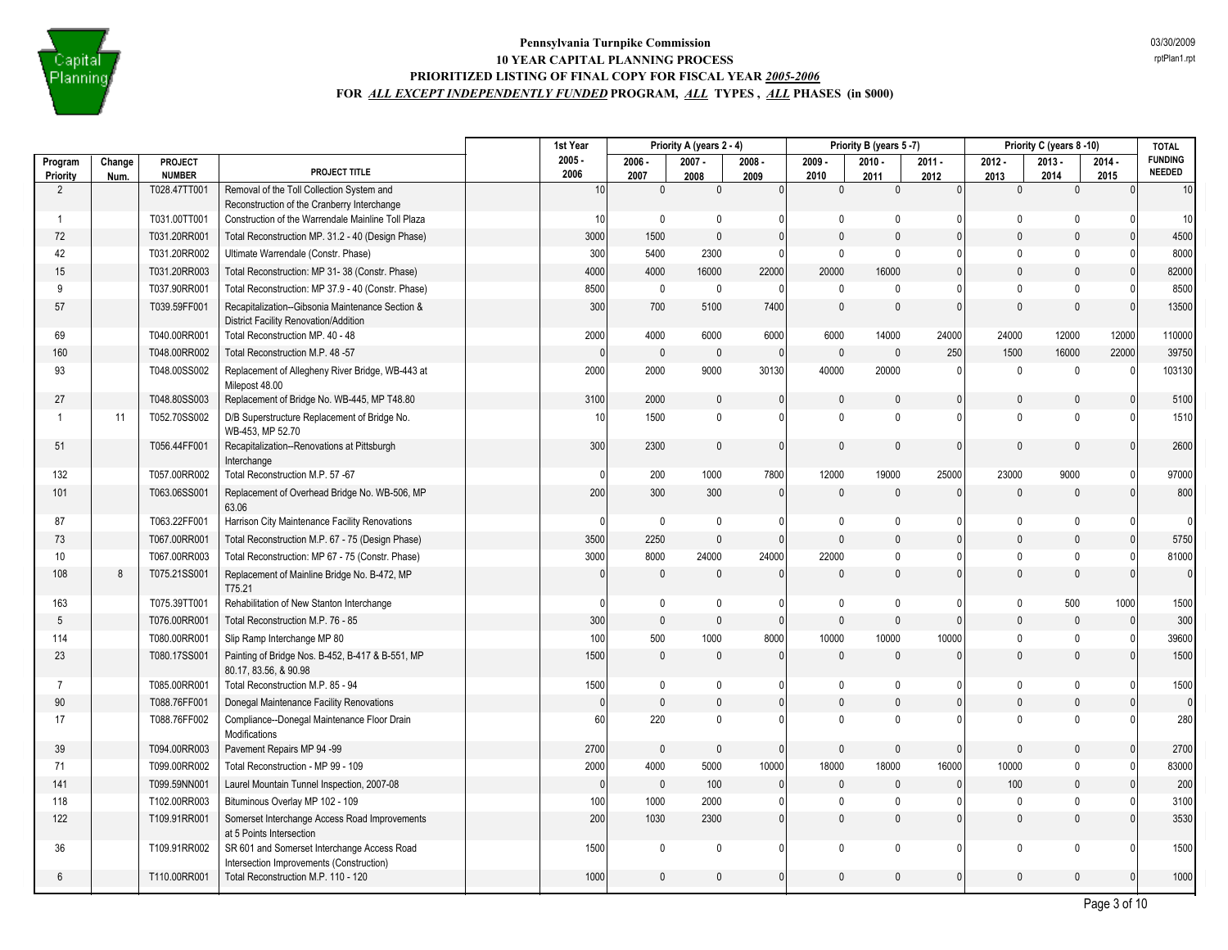

|                     |                |                                 |                                                                                           | 1st Year         |                  | Priority A (years 2 - 4) |                  |                  | Priority B (years 5-7) |                  |                  | Priority C (years 8-10) |                  | <b>TOTAL</b>                    |
|---------------------|----------------|---------------------------------|-------------------------------------------------------------------------------------------|------------------|------------------|--------------------------|------------------|------------------|------------------------|------------------|------------------|-------------------------|------------------|---------------------------------|
| Program<br>Priority | Change<br>Num. | <b>PROJECT</b><br><b>NUMBER</b> | PROJECT TITLE                                                                             | $2005 -$<br>2006 | $2006 -$<br>2007 | $2007 -$<br>2008         | $2008 -$<br>2009 | $2009 -$<br>2010 | $2010 -$<br>2011       | $2011 -$<br>2012 | $2012 -$<br>2013 | $2013 -$<br>2014        | $2014 -$<br>2015 | <b>FUNDING</b><br><b>NEEDED</b> |
| 2                   |                | T028.47TT001                    | Removal of the Toll Collection System and                                                 | 10               | $\mathbf{0}$     | $\mathbf 0$              | 0                | $\mathbf{0}$     | $\mathbf{0}$           | $\mathbf{0}$     | $\mathbf{0}$     | $\mathbf 0$             |                  | 10                              |
|                     |                |                                 | Reconstruction of the Cranberry Interchange                                               |                  |                  |                          |                  |                  |                        |                  |                  |                         |                  |                                 |
| -1                  |                | T031.00TT001                    | Construction of the Warrendale Mainline Toll Plaza                                        | 10               | $\mathbf 0$      | $\mathbf 0$              | 0                | $\mathbf 0$      | $\mathbf{0}$           | $\mathbf{0}$     | $\mathbf 0$      | $\mathbf 0$             |                  | 10                              |
| 72                  |                | T031.20RR001                    | Total Reconstruction MP. 31.2 - 40 (Design Phase)                                         | 3000             | 1500             | $\pmb{0}$                | $\pmb{0}$        | $\mathbf 0$      | $\Omega$               | $\mathbf{0}$     | $\mathbf 0$      | $\mathbf{0}$            |                  | 4500                            |
| 42                  |                | T031.20RR002                    | Ultimate Warrendale (Constr. Phase)                                                       | 300              | 5400             | 2300                     | $\mathbf 0$      | $\mathbf 0$      | $\Omega$               | $\mathbf{0}$     | $\Omega$         | $\mathbf{0}$            |                  | 8000                            |
| 15                  |                | T031.20RR003                    | Total Reconstruction: MP 31-38 (Constr. Phase)                                            | 4000             | 4000             | 16000                    | 22000            | 20000            | 16000                  | $\mathbf{0}$     | $\mathbf{0}$     | $\Omega$                |                  | 82000                           |
| 9                   |                | T037.90RR001                    | Total Reconstruction: MP 37.9 - 40 (Constr. Phase)                                        | 8500             | $\mathbf 0$      | $\pmb{0}$                | $\Omega$         | $\mathbf 0$      | $\Omega$               | $\mathbf{0}$     | $\mathbf{0}$     | $\mathbf 0$             | n                | 8500                            |
| 57                  |                | T039.59FF001                    | Recapitalization--Gibsonia Maintenance Section &<br>District Facility Renovation/Addition | 300              | 700              | 5100                     | 7400             | $\mathbf{0}$     | $\mathbf{0}$           | $\mathbf{0}$     | $\mathbf{0}$     | $\mathbf{0}$            |                  | 13500                           |
| 69                  |                | T040.00RR001                    | Total Reconstruction MP. 40 - 48                                                          | 2000             | 4000             | 6000                     | 6000             | 6000             | 14000                  | 24000            | 24000            | 12000                   | 12000            | 110000                          |
| 160                 |                | T048.00RR002                    | Total Reconstruction M.P. 48 -57                                                          | $\Omega$         | $\mathbf{0}$     | $\mathbf{0}$             | $\Omega$         | $\mathbf{0}$     | $\Omega$               | 250              | 1500             | 16000                   | 22000            | 39750                           |
| 93                  |                | T048.00SS002                    | Replacement of Allegheny River Bridge, WB-443 at<br>Milepost 48.00                        | 2000             | 2000             | 9000                     | 30130            | 40000            | 20000                  | $\mathbf{0}$     | $\mathbf 0$      | $\mathbf 0$             | $\Omega$         | 103130                          |
| 27                  |                | T048.80SS003                    | Replacement of Bridge No. WB-445, MP T48.80                                               | 3100             | 2000             | $\mathbf{0}$             | $\mathbf{0}$     | $\mathbf{0}$     | $\Omega$               | $\mathbf{0}$     | $\Omega$         | $\mathbf{0}$            |                  | 5100                            |
| -1                  | 11             | T052.70SS002                    | D/B Superstructure Replacement of Bridge No.<br>WB-453, MP 52.70                          | 10               | 1500             | $\mathbf 0$              | $\mathbf 0$      | $\mathbf 0$      | $\Omega$               | $\mathbf{0}$     | $\mathbf{0}$     | $\Omega$                |                  | 1510                            |
| 51                  |                | T056.44FF001                    | Recapitalization--Renovations at Pittsburgh<br>Interchange                                | 300              | 2300             | $\mathbf{0}$             | $\Omega$         | $\mathbf{0}$     | $\Omega$               | $\mathbf{0}$     | $\mathbf{0}$     | $\mathbf{0}$            |                  | 2600                            |
| 132                 |                | T057.00RR002                    | Total Reconstruction M.P. 57 -67                                                          | $\Omega$         | 200              | 1000                     | 7800             | 12000            | 19000                  | 25000            | 23000            | 9000                    |                  | 97000                           |
| 101                 |                | T063.06SS001                    | Replacement of Overhead Bridge No. WB-506, MP<br>63.06                                    | 200              | 300              | 300                      | $\mathbf{0}$     | $\Omega$         | $\Omega$               | $\Omega$         | $\Omega$         | $\pmb{0}$               | $\Omega$         | 800                             |
| 87                  |                | T063.22FF001                    | Harrison City Maintenance Facility Renovations                                            | $\Omega$         | $\mathbf 0$      | $\Omega$                 | 0                | 0                | $\mathbf{0}$           | $\mathbf{0}$     | $\mathbf 0$      | $\mathbf 0$             |                  | $\Omega$                        |
| 73                  |                | T067.00RR001                    | Total Reconstruction M.P. 67 - 75 (Design Phase)                                          | 3500             | 2250             | $\mathbf{0}$             | $\mathbf{0}$     | $\Omega$         | $\Omega$               | $\mathbf{0}$     | $\mathbf{0}$     | $\mathbf{0}$            |                  | 5750                            |
| 10                  |                | T067.00RR003                    | Total Reconstruction: MP 67 - 75 (Constr. Phase)                                          | 3000             | 8000             | 24000                    | 24000            | 22000            | $\mathbf{0}$           | $\mathbf{0}$     | $\mathbf 0$      | $\mathbf 0$             | O                | 81000                           |
| 108                 | 8              | T075.21SS001                    | Replacement of Mainline Bridge No. B-472, MP<br>T75.21                                    | $\Omega$         | $\theta$         | $\mathbf{0}$             | $\mathbf{0}$     | $\Omega$         | $\Omega$               | $\Omega$         | $\mathbf{0}$     | $\mathbf{0}$            | $\Omega$         | $\overline{0}$                  |
| 163                 |                | T075.39TT001                    | Rehabilitation of New Stanton Interchange                                                 | $\Omega$         | $\mathbf 0$      | $\mathbf 0$              | 0                | $\mathbf 0$      | $\Omega$               | $\Omega$         | $\pmb{0}$        | 500                     | 1000             | 1500                            |
| 5                   |                | T076.00RR001                    | Total Reconstruction M.P. 76 - 85                                                         | 300              | $\mathbf{0}$     | $\mathbf{0}$             | $\mathbf{0}$     | $\mathbf{0}$     | $\Omega$               | $\mathbf{0}$     | $\Omega$         | $\mathbf{0}$            | $\Omega$         | 300                             |
| 114                 |                | T080.00RR001                    | Slip Ramp Interchange MP 80                                                               | 100              | 500              | 1000                     | 8000             | 10000            | 10000                  | 10000            | 0                | $\mathbf 0$             |                  | 39600                           |
| 23                  |                | T080.17SS001                    | Painting of Bridge Nos. B-452, B-417 & B-551, MP<br>80.17, 83.56, & 90.98                 | 1500             | $\mathbf{0}$     | $\mathbf{0}$             | $\mathbf{0}$     | $\mathbf{0}$     | $\Omega$               | $\mathbf{0}$     | $\mathbf{0}$     | $\mathbf{0}$            |                  | 1500                            |
| $\overline{7}$      |                | T085.00RR001                    | Total Reconstruction M.P. 85 - 94                                                         | 1500             | $\mathbf 0$      | $\mathbf 0$              | 0                | $\mathbf 0$      | $\Omega$               | $\Omega$         | $\mathbf 0$      | $\mathbf 0$             |                  | 1500                            |
| 90                  |                | T088.76FF001                    | Donegal Maintenance Facility Renovations                                                  | $\mathbf{0}$     | $\mathsf{0}$     | $\pmb{0}$                | $\mathbf{0}$     | $\mathbf 0$      | $\mathbf{0}$           | $\mathbf{0}$     | $\mathbf 0$      | $\pmb{0}$               |                  | $\overline{0}$                  |
| 17                  |                | T088.76FF002                    | Compliance--Donegal Maintenance Floor Drain<br><b>Modifications</b>                       | 60               | 220              | $\mathbf 0$              | $\mathbf{0}$     | $\mathbf 0$      | $\Omega$               | $\Omega$         | $\Omega$         | $\mathbf{0}$            |                  | 280                             |
| 39                  |                | T094.00RR003                    | Pavement Repairs MP 94 -99                                                                | 2700             | $\mathbf{0}$     | $\mathbf{0}$             | $\Omega$         | 0                | $\Omega$               | $\mathbf{0}$     | $\Omega$         | $\mathbf{0}$            |                  | 2700                            |
| 71                  |                | T099.00RR002                    | Total Reconstruction - MP 99 - 109                                                        | 2000             | 4000             | 5000                     | 10000            | 18000            | 18000                  | 16000            | 10000            | $\mathbf 0$             |                  | 83000                           |
| 141                 |                | T099.59NN001                    | Laurel Mountain Tunnel Inspection, 2007-08                                                | $\mathbf{0}$     | $\mathsf 0$      | 100                      | $\mathbf 0$      | $\mathbf 0$      | $\mathbf{0}$           | $\mathbf{0}$     | 100              | $\mathbf{0}$            |                  | 200                             |
| 118                 |                | T102.00RR003                    | Bituminous Overlay MP 102 - 109                                                           | 100              | 1000             | 2000                     | 0                | $\mathbf{0}$     | $\Omega$               | $\Omega$         | $\mathbf 0$      | $\mathbf 0$             |                  | 3100                            |
| 122                 |                | T109.91RR001                    | Somerset Interchange Access Road Improvements<br>at 5 Points Intersection                 | 200              | 1030             | 2300                     | $\mathbf{0}$     | $\mathbf{0}$     | $\mathbf{0}$           | $\mathbf{0}$     | $\mathbf{0}$     | $\mathbf{0}$            |                  | 3530                            |
| 36                  |                | T109.91RR002                    | SR 601 and Somerset Interchange Access Road<br>Intersection Improvements (Construction)   | 1500             | $\mathbf{0}$     | $\mathbf 0$              | 0                | $\mathbf 0$      | $\Omega$               | $\mathbf{0}$     | $\mathbf{0}$     | $\mathbf 0$             |                  | 1500                            |
| 6                   |                | T110.00RR001                    | Total Reconstruction M.P. 110 - 120                                                       | 1000             | $\mathbf{0}$     | $\mathbf{0}$             | 0                | $\mathbf{0}$     | $\Omega$               | 0                | $\mathbf{0}$     | $\mathbf{0}$            |                  | 1000                            |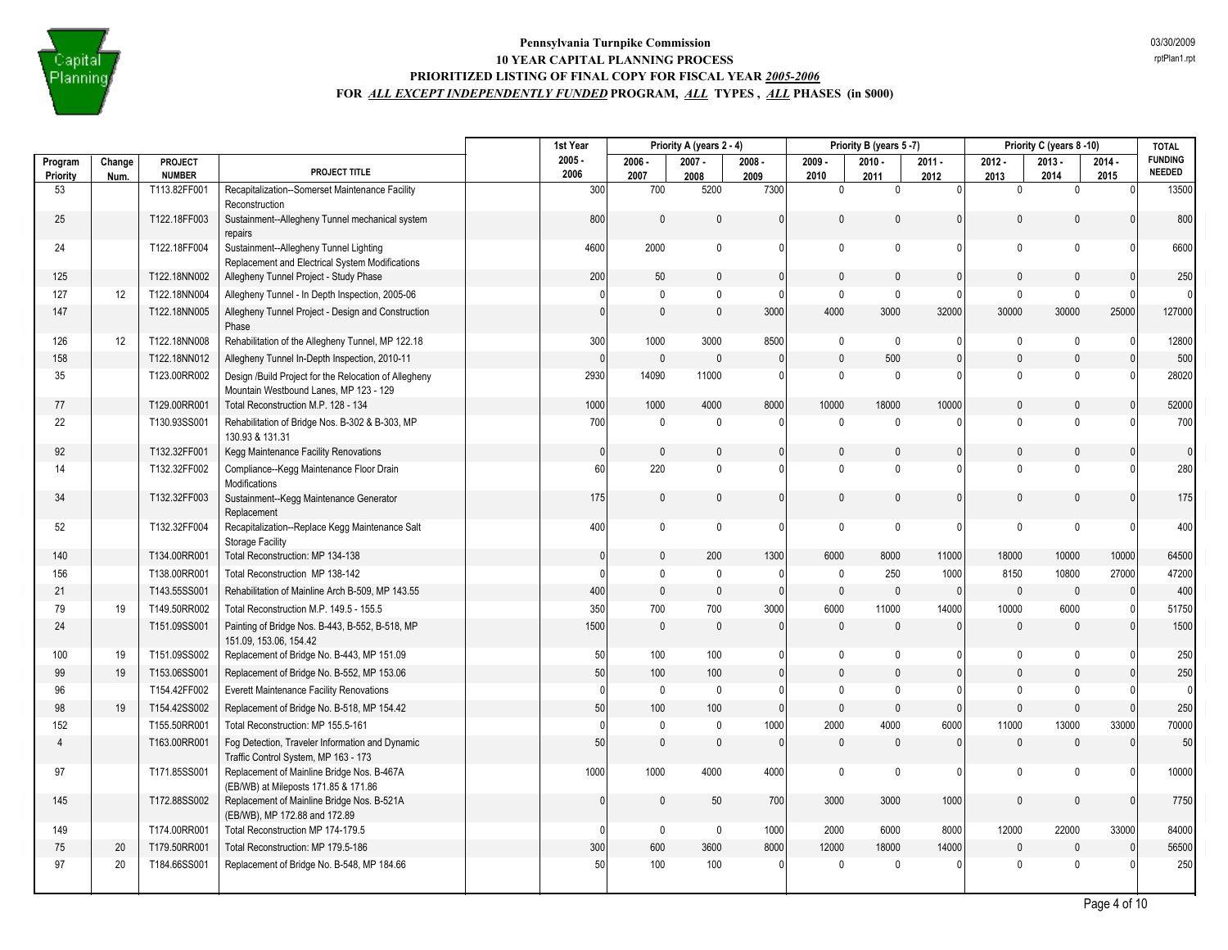

|                     |                |                          |                                                                                                 | 1st Year         | Priority A (years 2 - 4) |                  |                  | Priority B (years 5 -7) |                  |                  | Priority C (years 8-10) |                  | <b>TOTAL</b>     |                                 |
|---------------------|----------------|--------------------------|-------------------------------------------------------------------------------------------------|------------------|--------------------------|------------------|------------------|-------------------------|------------------|------------------|-------------------------|------------------|------------------|---------------------------------|
| Program<br>Priority | Change<br>Num. | PROJECT<br><b>NUMBER</b> | PROJECT TITLE                                                                                   | $2005 -$<br>2006 | $2006 -$<br>2007         | $2007 -$<br>2008 | $2008 -$<br>2009 | $2009 -$<br>2010        | $2010 -$<br>2011 | $2011 -$<br>2012 | $2012 -$<br>2013        | $2013 -$<br>2014 | $2014 -$<br>2015 | <b>FUNDING</b><br><b>NEEDED</b> |
| 53                  |                | T113.82FF001             | Recapitalization--Somerset Maintenance Facility<br>Reconstruction                               | 300              | 700                      | 5200             | 7300             | $\mathbf{0}$            | $\Omega$         | $\Omega$         | $\mathbf{0}$            | $\mathbf{0}$     | $\Omega$         | 13500                           |
| 25                  |                | T122.18FF003             | Sustainment--Allegheny Tunnel mechanical system<br>repairs                                      | 800              | $\mathbf{0}$             | $\mathbf{0}$     | $\Omega$         | $\Omega$                | $\mathbf{0}$     | $\mathbf{0}$     | $\Omega$                | $\mathbf{0}$     | $\Omega$         | 800                             |
| 24                  |                | T122.18FF004             | Sustainment--Allegheny Tunnel Lighting<br>Replacement and Electrical System Modifications       | 4600             | 2000                     | $\mathbf{0}$     | $\Omega$         | $\mathbf{0}$            | $\mathbf{0}$     | $\Omega$         | $\mathbf{0}$            | $\mathbf{0}$     |                  | 6600                            |
| 125                 |                | T122.18NN002             | Allegheny Tunnel Project - Study Phase                                                          | 200              | 50                       | $\mathbf{0}$     | $\mathbf{0}$     | $\Omega$                | $\mathbf{0}$     | $\mathbf{0}$     | $\mathbf{0}$            | $\mathbf{0}$     |                  | 250                             |
| 127                 | 12             | T122.18NN004             | Allegheny Tunnel - In Depth Inspection, 2005-06                                                 | O                | $\mathbf 0$              | $\mathbf{0}$     | $\mathbf{0}$     | $\mathbf 0$             | $\mathbf 0$      | 0                | $\mathbf 0$             | $\mathbf 0$      |                  | $\Omega$                        |
| 147                 |                | T122.18NN005             | Allegheny Tunnel Project - Design and Construction<br>Phase                                     | $\Omega$         | $\mathbf{0}$             | $\mathbf{0}$     | 3000             | 4000                    | 3000             | 32000            | 30000                   | 30000            | 25000            | 127000                          |
| 126                 | 12             | T122.18NN008             | Rehabilitation of the Allegheny Tunnel, MP 122.18                                               | 300              | 1000                     | 3000             | 8500             | $\mathbf 0$             | $\mathbf 0$      | $\Omega$         | $\mathbf 0$             | $\mathbf 0$      |                  | 12800                           |
| 158                 |                | T122.18NN012             | Allegheny Tunnel In-Depth Inspection, 2010-11                                                   | $\Omega$         | $\mathbb O$              | $\mathbf{0}$     | $\Omega$         | $\pmb{0}$               | 500              | $\Omega$         | $\mathbf{0}$            | $\mathbf{0}$     | $\Omega$         | 500                             |
| 35                  |                | T123.00RR002             | Design /Build Project for the Relocation of Allegheny<br>Mountain Westbound Lanes, MP 123 - 129 | 2930             | 14090                    | 11000            | $\mathbf{0}$     | $\mathbf{0}$            | $\mathbf 0$      | 0                | $\mathbf 0$             | $\mathbf{0}$     |                  | 28020                           |
| 77                  |                | T129.00RR001             | Total Reconstruction M.P. 128 - 134                                                             | 1000             | 1000                     | 4000             | 8000             | 10000                   | 18000            | 10000            | $\mathbf{0}$            | $\mathbf{0}$     |                  | 52000                           |
| 22                  |                | T130.93SS001             | Rehabilitation of Bridge Nos. B-302 & B-303, MP<br>130.93 & 131.31                              | 700              | $\mathbf 0$              | $\mathbf{0}$     | $\Omega$         | $\Omega$                | $\mathbf 0$      | O                | $\Omega$                | $\Omega$         |                  | 700                             |
| 92                  |                | T132.32FF001             | Kegg Maintenance Facility Renovations                                                           | $\mathbf{0}$     | $\mathbf{0}$             | $\mathbf{0}$     | $\mathbf{0}$     | $\Omega$                | $\mathbf{0}$     | $\mathbf{0}$     | $\mathbf{0}$            | $\Omega$         |                  | $\overline{0}$                  |
| 14                  |                | T132.32FF002             | Compliance--Kegg Maintenance Floor Drain<br>Modifications                                       | 60               | 220                      | $\mathbf{0}$     | $\mathbf{0}$     | $\pmb{0}$               | $\mathbf{0}$     | $\mathbf{0}$     | $\mathbf 0$             | $\Omega$         |                  | 280                             |
| 34                  |                | T132.32FF003             | Sustainment--Kegg Maintenance Generator<br>Replacement                                          | 175              | $\mathsf 0$              | $\mathbf{0}$     | $\mathbf{0}$     | $\mathbf 0$             | $\mathbf{0}$     | $\mathbf{0}$     | $\mathbf 0$             | $\mathbf{0}$     |                  | 175                             |
| 52                  |                | T132.32FF004             | Recapitalization--Replace Kegg Maintenance Salt<br><b>Storage Facility</b>                      | 400              | $\mathbf 0$              | $\mathbf 0$      | $\Omega$         | $\mathbf 0$             | $\Omega$         | $\Omega$         | $\Omega$                | $\mathbf 0$      |                  | 400                             |
| 140                 |                | T134.00RR001             | Total Reconstruction: MP 134-138                                                                | $\Omega$         | $\mathbf 0$              | 200              | 1300             | 6000                    | 8000             | 11000            | 18000                   | 10000            | 10000            | 64500                           |
| 156                 |                | T138.00RR001             | Total Reconstruction MP 138-142                                                                 | 0                | $\mathbf 0$              | $\mathbf 0$      | $\mathbf{0}$     | $\mathbf 0$             | 250              | 1000             | 8150                    | 10800            | 27000            | 47200                           |
| 21                  |                | T143.55SS001             | Rehabilitation of Mainline Arch B-509. MP 143.55                                                | 400              | $\mathbf{0}$             | $\mathbf{0}$     | $\Omega$         | $\mathbf{0}$            | $\mathbf{0}$     | $\mathbf{0}$     | $\mathbf{0}$            | $\mathbf{0}$     | $\Omega$         | 400                             |
| 79                  | 19             | T149.50RR002             | Total Reconstruction M.P. 149.5 - 155.5                                                         | 350              | 700                      | 700              | 3000             | 6000                    | 11000            | 14000            | 10000                   | 6000             |                  | 51750                           |
| 24                  |                | T151.09SS001             | Painting of Bridge Nos. B-443, B-552, B-518, MP<br>151.09, 153.06, 154.42                       | 1500             | $\mathbf{0}$             | $\mathbf{0}$     | $\mathbf{0}$     | $\mathbf{0}$            | $\mathbf{0}$     | $\mathbf{0}$     | $\mathbf{0}$            | $\Omega$         |                  | 1500                            |
| 100                 | 19             | T151.09SS002             | Replacement of Bridge No. B-443, MP 151.09                                                      | 50               | 100                      | 100              | 01               | $\mathbf{0}$            | $\mathbf 0$      | $\Omega$         | $\Omega$                | 0                |                  | 250                             |
| 99                  | 19             | T153.06SS001             | Replacement of Bridge No. B-552, MP 153.06                                                      | 50               | 100                      | 100              | $\Omega$         | $\Omega$                | $\mathbf 0$      | $\Omega$         | $\mathbf{0}$            | $\mathbf{0}$     |                  | 250                             |
| 96                  |                | T154.42FF002             | <b>Everett Maintenance Facility Renovations</b>                                                 | $\mathbf{0}$     | $\mathbf 0$              | $\mathbf{0}$     | $\Omega$         | $\mathbf 0$             | $\mathbf{0}$     | $\Omega$         | $\theta$                | $\mathbf{0}$     |                  | $\overline{0}$                  |
| 98                  | 19             | T154.42SS002             | Replacement of Bridge No. B-518, MP 154.42                                                      | 50               | 100                      | 100              | $\Omega$         | $\mathbf{0}$            | $\Omega$         | $\mathbf{0}$     | $\Omega$                | $\mathbf{0}$     |                  | 250                             |
| 152                 |                | T155.50RR001             | Total Reconstruction: MP 155.5-161                                                              | $\Omega$         | $\mathsf 0$              | $\mathbf 0$      | 1000             | 2000                    | 4000             | 6000             | 11000                   | 13000            | 33000            | 70000                           |
| $\overline{4}$      |                | T163.00RR001             | Fog Detection, Traveler Information and Dynamic<br>Traffic Control System, MP 163 - 173         | 50               | $\mathbf{0}$             | $\mathbf{0}$     | $\mathbf{0}$     | $\mathbf{0}$            | $\mathbf{0}$     | $\mathbf{0}$     | $\mathbf{0}$            | $\mathbf{0}$     | $\Omega$         | 50                              |
| 97                  |                | T171.85SS001             | Replacement of Mainline Bridge Nos. B-467A<br>(EB/WB) at Mileposts 171.85 & 171.86              | 1000             | 1000                     | 4000             | 4000             | $\mathbf 0$             | $\mathbf{0}$     | 0                | $\Omega$                | $\Omega$         | n                | 10000                           |
| 145                 |                | T172.88SS002             | Replacement of Mainline Bridge Nos. B-521A<br>(EB/WB), MP 172.88 and 172.89                     | $\mathbf{0}$     | $\mathbf{0}$             | 50               | 700              | 3000                    | 3000             | 1000             | $\mathbf{0}$            | $\mathbf{0}$     | $\Omega$         | 7750                            |
| 149                 |                | T174.00RR001             | Total Reconstruction MP 174-179.5                                                               | <sup>0</sup>     | $\mathbf 0$              | 0                | 1000             | 2000                    | 6000             | 8000             | 12000                   | 22000            | 33000            | 84000                           |
| 75                  | 20             | T179.50RR001             | Total Reconstruction: MP 179.5-186                                                              | 300              | 600                      | 3600             | 8000             | 12000                   | 18000            | 14000            | $\mathbf{0}$            | $\Omega$         | $\Omega$         | 56500                           |
| 97                  | 20             | T184.66SS001             | Replacement of Bridge No. B-548, MP 184.66                                                      | 50               | 100                      | 100              | $\Omega$         | $\Omega$                | $\mathbf 0$      | 0                | $\mathbf{0}$            | $\Omega$         |                  | 250                             |
|                     |                |                          |                                                                                                 |                  |                          |                  |                  |                         |                  |                  |                         |                  |                  |                                 |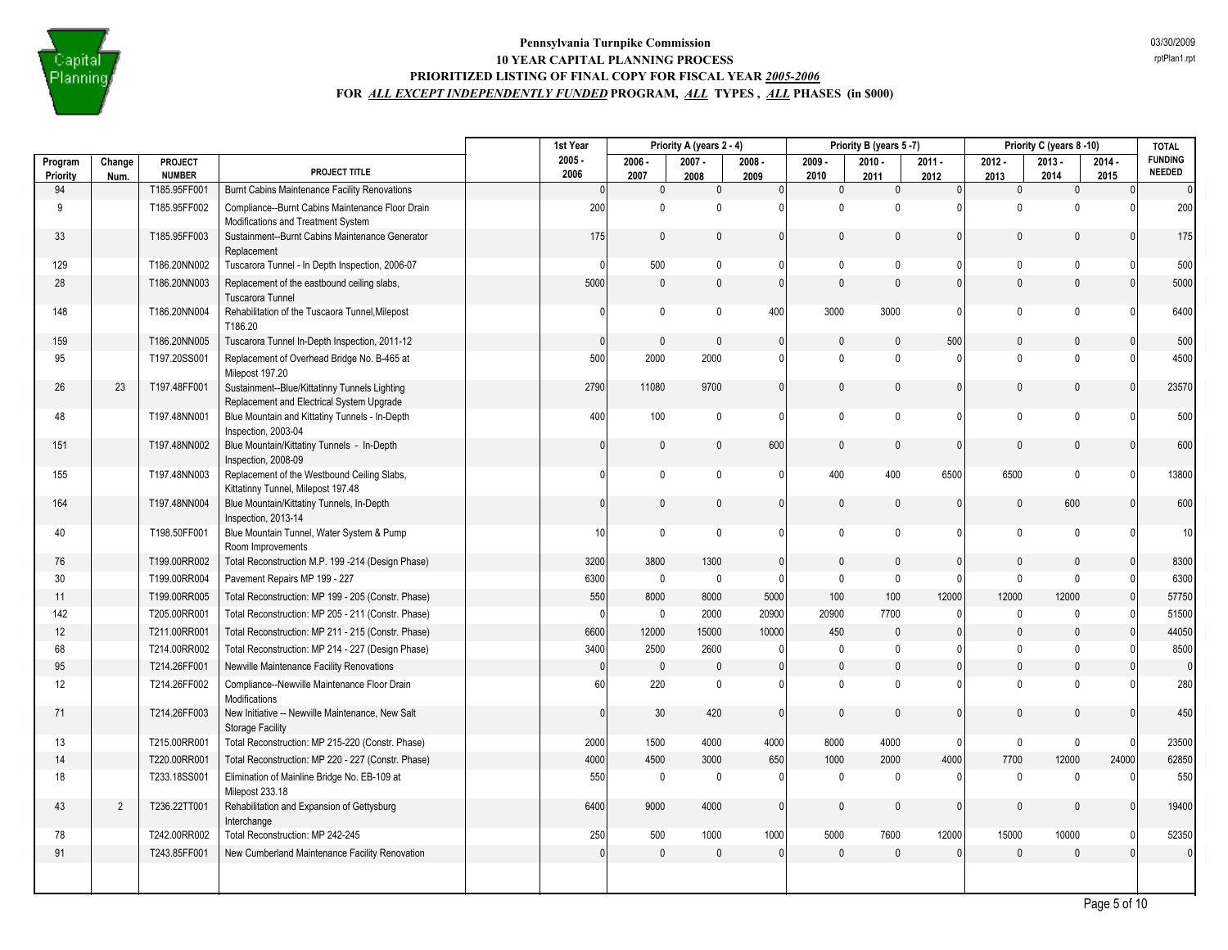

|                |                |                               |                                                                                            | 1st Year     |                     | Priority A (years 2 - 4) |                      |                      | Priority B (years 5-7) |              |                     | Priority C (years 8-10) |                      | <b>TOTAL</b>                    |
|----------------|----------------|-------------------------------|--------------------------------------------------------------------------------------------|--------------|---------------------|--------------------------|----------------------|----------------------|------------------------|--------------|---------------------|-------------------------|----------------------|---------------------------------|
| Program        | Change         | <b>PROJECT</b>                | PROJECT TITLE                                                                              | $2005 -$     | $2006 -$            | $2007 -$                 | $2008 -$             | $2009 -$             | $2010 -$               | $2011 -$     | $2012 -$            | $2013 -$                | $2014 -$             | <b>FUNDING</b><br><b>NEEDED</b> |
| Priority<br>94 | Num.           | <b>NUMBER</b><br>T185.95FF001 | Burnt Cabins Maintenance Facility Renovations                                              | 2006<br> 0   | 2007<br>$\mathbf 0$ | 2008<br>$\mathbf 0$      | 2009<br>$\mathbf{0}$ | 2010<br>$\mathbf{0}$ | 2011<br>$\mathbf 0$    | 2012<br> 0   | 2013<br>$\mathbf 0$ | 2014<br>$\mathbf 0$     | 2015<br>$\mathbf{0}$ | $\overline{0}$                  |
| 9              |                | T185.95FF002                  | Compliance--Burnt Cabins Maintenance Floor Drain                                           | 200          | $\mathbf 0$         | 0                        | $\mathbf{0}$         | $\Omega$             | $\mathbf{0}$           | n            | $\mathbf 0$         | $\Omega$                | $\Omega$             | 200                             |
| 33             |                | T185.95FF003                  | Modifications and Treatment System<br>Sustainment--Burnt Cabins Maintenance Generator      | 175          | $\mathbf 0$         | 0                        | $\mathbf{0}$         | $\mathbf{0}$         | $\mathbf{0}$           | 0            | $\mathbf{0}$        | $\mathbf{0}$            | $\Omega$             | 175                             |
| 129            |                | T186.20NN002                  | Replacement<br>Tuscarora Tunnel - In Depth Inspection, 2006-07                             | O            | 500                 | 0                        | $\Omega$             | $\mathbf{0}$         | $\mathbf 0$            | 0            | $\mathbf 0$         | $\mathbf{0}$            |                      | 500                             |
| 28             |                | T186.20NN003                  | Replacement of the eastbound ceiling slabs,                                                | 5000         | $\mathbb O$         | $\mathbf 0$              | $\mathbf{0}$         | $\mathbf{0}$         | $\mathbf{0}$           | $\mathbf{0}$ | $\mathbf{0}$        | $\mathbf{0}$            |                      | 5000                            |
|                |                |                               | Tuscarora Tunnel                                                                           |              |                     |                          |                      |                      |                        |              |                     |                         |                      |                                 |
| 148            |                | T186.20NN004                  | Rehabilitation of the Tuscaora Tunnel, Milepost<br>T186.20                                 | $\mathbf{0}$ | $\mathbf 0$         | 0                        | 400                  | 3000                 | 3000                   | 0            | $\mathbf 0$         | $\mathbf 0$             | $\Omega$             | 6400                            |
| 159            |                | T186.20NN005                  | Tuscarora Tunnel In-Depth Inspection, 2011-12                                              | $\Omega$     | $\mathbf{0}$        | $\mathbf{0}$             | $\mathbf{0}$         | $\mathbf{0}$         | $\mathbf{0}$           | 500          | $\mathbf{0}$        | $\Omega$                | $\mathbf{0}$         | 500                             |
| 95             |                | T197.20SS001                  | Replacement of Overhead Bridge No. B-465 at<br>Milepost 197.20                             | 500          | 2000                | 2000                     | $\mathbf{0}$         | $\mathbf{0}$         | $\mathbf 0$            | $\theta$     | $\mathbf 0$         | $\theta$                | $\Omega$             | 4500                            |
| 26             | 23             | T197.48FF001                  | Sustainment--Blue/Kittatinny Tunnels Lighting<br>Replacement and Electrical System Upgrade | 2790         | 11080               | 9700                     | $\mathbf{0}$         | 0                    | $\pmb{0}$              | 0            | $\mathbf{0}$        | $\mathbf{0}$            | $\Omega$             | 23570                           |
| 48             |                | T197.48NN001                  | Blue Mountain and Kittatiny Tunnels - In-Depth<br>Inspection, 2003-04                      | 400          | 100                 | $\mathbf 0$              | $\mathbf{0}$         | $\mathbf{0}$         | $\mathbf 0$            | 0            | $\mathbf 0$         | $\Omega$                | $\Omega$             | 500                             |
| 151            |                | T197.48NN002                  | Blue Mountain/Kittatiny Tunnels - In-Depth<br>Inspection, 2008-09                          | $\mathbf{0}$ | $\mathbb O$         | $\mathbf{0}$             | 600                  | $\mathbf{0}$         | $\mathbf{0}$           | $\mathbf{0}$ | $\mathbf{0}$        | $\mathbf{0}$            | $\Omega$             | 600                             |
| 155            |                | T197.48NN003                  | Replacement of the Westbound Ceiling Slabs,<br>Kittatinny Tunnel, Milepost 197.48          | 0            | $\mathbf 0$         | 0                        | $\mathbf{0}$         | 400                  | 400                    | 6500         | 6500                | $\mathbf{0}$            | $\Omega$             | 13800                           |
| 164            |                | T197.48NN004                  | Blue Mountain/Kittatiny Tunnels, In-Depth<br>Inspection, 2013-14                           | $\mathbf{0}$ | $\mathbf{0}$        | 0                        | $\mathbf{0}$         | $\mathbf{0}$         | $\mathbf{0}$           | 0            | $\mathbf{0}$        | 600                     | $\Omega$             | 600                             |
| 40             |                | T198.50FF001                  | Blue Mountain Tunnel, Water System & Pump<br>Room Improvements                             | 10           | $\mathbf 0$         | $\mathbf 0$              | $\Omega$             | $\mathbf 0$          | $\mathbf{0}$           | 0            | $\mathbf{0}$        | $\mathbf{0}$            | $\Omega$             | 10 <sup>1</sup>                 |
| 76             |                | T199.00RR002                  | Total Reconstruction M.P. 199 -214 (Design Phase)                                          | 3200         | 3800                | 1300                     | $\mathbf{0}$         | $\mathbf{0}$         | $\pmb{0}$              | 0            | $\mathbf{0}$        | $\mathbf{0}$            | $\mathbf{0}$         | 8300                            |
| 30             |                | T199.00RR004                  | Pavement Repairs MP 199 - 227                                                              | 6300         | $\mathbf 0$         | $\mathbf 0$              | $\Omega$             | $\mathbf 0$          | $\mathbf 0$            | 0            | $\mathbf 0$         | $\mathbf{0}$            | $\Omega$             | 6300                            |
| 11             |                | T199.00RR005                  | Total Reconstruction: MP 199 - 205 (Constr. Phase)                                         | 550          | 8000                | 8000                     | 5000                 | 100                  | 100                    | 12000        | 12000               | 12000                   | $\Omega$             | 57750                           |
| 142            |                | T205.00RR001                  | Total Reconstruction: MP 205 - 211 (Constr. Phase)                                         | $\Omega$     | $\pmb{0}$           | 2000                     | 20900                | 20900                | 7700                   | 0            | $\mathbf 0$         | $\mathbf{0}$            | $\Omega$             | 51500                           |
| 12             |                | T211.00RR001                  | Total Reconstruction: MP 211 - 215 (Constr. Phase)                                         | 6600         | 12000               | 15000                    | 10000                | 450                  | $\mathbf 0$            | 0            | $\mathbf{0}$        | $\mathbf{0}$            |                      | 44050                           |
| 68             |                | T214.00RR002                  | Total Reconstruction: MP 214 - 227 (Design Phase)                                          | 3400         | 2500                | 2600                     | $\Omega$             | $\mathbf{0}$         | $\pmb{0}$              | 0            | $\mathbf 0$         | $\mathbf{0}$            | $\Omega$             | 8500                            |
| 95             |                | T214.26FF001                  | Newville Maintenance Facility Renovations                                                  | $\mathbf{0}$ | $\mathbf 0$         | $\mathbf{0}$             | $\mathbf{0}$         | $\mathbf{0}$         | $\mathbf{0}$           | 0            | $\mathbf{0}$        | $\mathbf{0}$            | $\mathbf{0}$         | $\overline{0}$                  |
| 12             |                | T214.26FF002                  | Compliance--Newville Maintenance Floor Drain<br>Modifications                              | 60           | 220                 | $\mathbf 0$              | $\mathbf{0}$         | $\mathbf 0$          | $\mathbf 0$            | 0            | $\mathbf 0$         | $\mathbf 0$             | $\Omega$             | 280                             |
| 71             |                | T214.26FF003                  | New Initiative -- Newville Maintenance, New Salt<br><b>Storage Facility</b>                | $\mathbf{0}$ | 30                  | 420                      | $\mathbf{0}$         | $\theta$             | $\mathbf 0$            | 0            | $\mathbf{0}$        | $\mathbf{0}$            | $\Omega$             | 450                             |
| 13             |                | T215.00RR001                  | Total Reconstruction: MP 215-220 (Constr. Phase)                                           | 2000         | 1500                | 4000                     | 4000                 | 8000                 | 4000                   | 0            | $\mathbf 0$         | $\mathbf{0}$            | $\Omega$             | 23500                           |
| 14             |                | T220.00RR001                  | Total Reconstruction: MP 220 - 227 (Constr. Phase)                                         | 4000         | 4500                | 3000                     | 650                  | 1000                 | 2000                   | 4000         | 7700                | 12000                   | 24000                | 62850                           |
| 18             |                | T233.18SS001                  | Elimination of Mainline Bridge No. EB-109 at<br>Milepost 233.18                            | 550          | $\mathbf 0$         | $\mathbf 0$              | $\mathbf{0}$         | $\mathbf 0$          | $\mathbf{0}$           | U            | $\mathbf{0}$        | $\Omega$                | $\Omega$             | 550                             |
| 43             | $\overline{2}$ | T236.22TT001                  | Rehabilitation and Expansion of Gettysburg<br>Interchange                                  | 6400         | 9000                | 4000                     | $\mathbf{0}$         | $\Omega$             | $\pmb{0}$              | 0            | $\mathbf{0}$        | $\Omega$                | $\mathbf{0}$         | 19400                           |
| 78             |                | T242.00RR002                  | Total Reconstruction: MP 242-245                                                           | 250          | 500                 | 1000                     | 1000                 | 5000                 | 7600                   | 12000        | 15000               | 10000                   |                      | 52350                           |
| 91             |                | T243.85FF001                  | New Cumberland Maintenance Facility Renovation                                             | $\mathbf{0}$ | $\mathbf{0}$        | $\mathbf{0}$             | $\mathbf{0}$         | $\theta$             | $\mathbf{0}$           | $\Omega$     | $\mathbf{0}$        | $\Omega$                | $\Omega$             | $\mathbf{0}$                    |
|                |                |                               |                                                                                            |              |                     |                          |                      |                      |                        |              |                     |                         |                      |                                 |
|                |                |                               |                                                                                            |              |                     |                          |                      |                      |                        |              |                     |                         |                      |                                 |

rptPlan1.rpt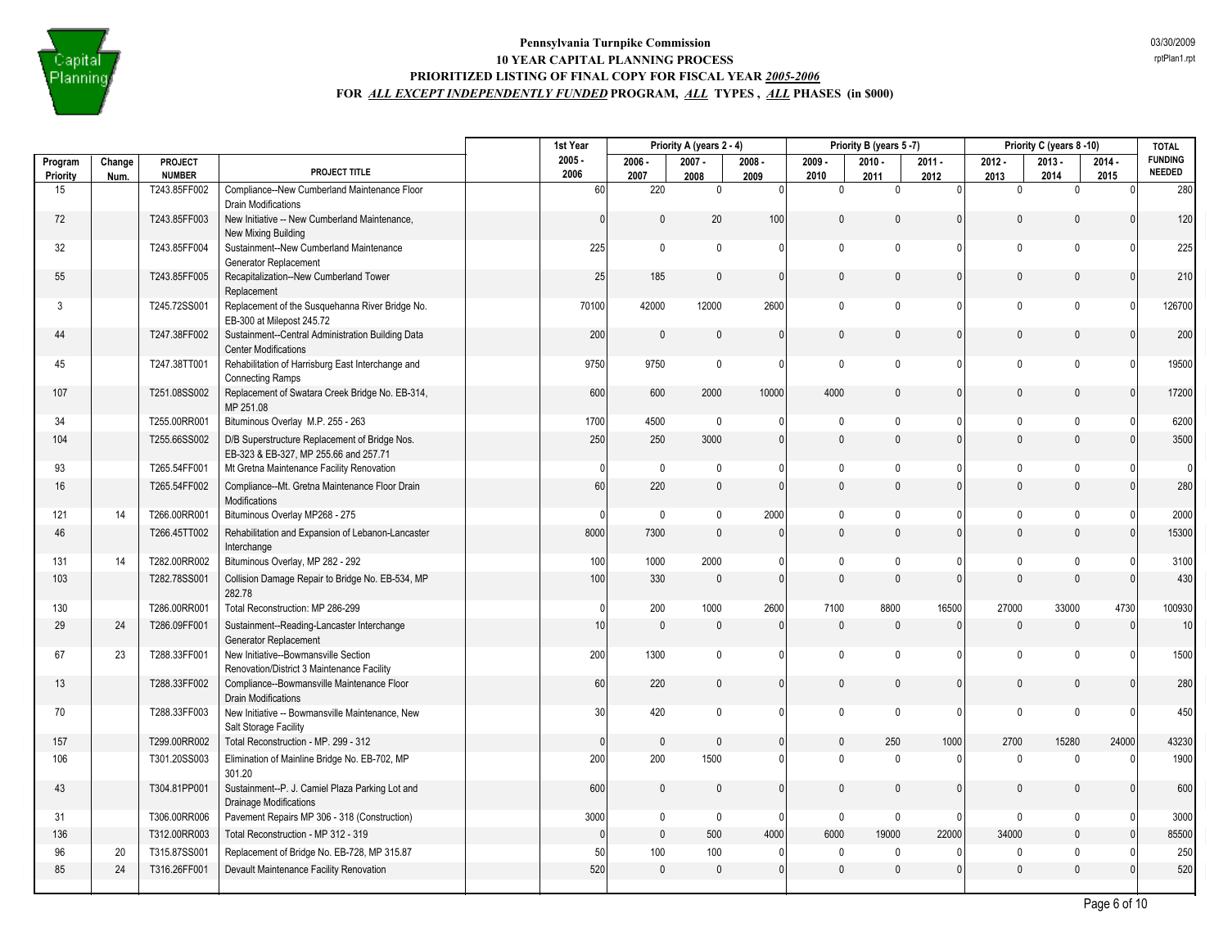

|                |        |                          |                                                                                        | 1st Year         |              | Priority A (years 2 - 4) |                |                     | Priority B (years 5-7) |                        |                     | Priority C (years 8-10) |                  | <b>TOTAL</b>             |
|----------------|--------|--------------------------|----------------------------------------------------------------------------------------|------------------|--------------|--------------------------|----------------|---------------------|------------------------|------------------------|---------------------|-------------------------|------------------|--------------------------|
| Program        | Change | PROJECT<br><b>NUMBER</b> | PROJECT TITLE                                                                          | $2005 -$<br>2006 | $2006 -$     | $2007 -$                 | $2008 -$       | $2009 -$            | $2010 -$               | $2011 -$               | $2012 -$            | $2013 -$                | $2014 -$         | <b>FUNDING</b><br>NEEDED |
| Priority<br>15 | Num.   | T243.85FF002             | Compliance--New Cumberland Maintenance Floor                                           | 60               | 2007<br>220  | 2008<br>$\mathbf 0$      | 2009<br> 0     | 2010<br>$\mathbf 0$ | 2011<br>$\mathbf 0$    | 2012<br>$\overline{0}$ | 2013<br>$\mathbf 0$ | 2014<br>$\mathbf{0}$    | 2015<br>$\Omega$ | 280                      |
|                |        |                          | <b>Drain Modifications</b>                                                             |                  |              |                          |                |                     |                        |                        |                     |                         |                  |                          |
| 72             |        | T243.85FF003             | New Initiative -- New Cumberland Maintenance,<br>New Mixing Building                   | $\mathbf{0}$     | $\mathbf{0}$ | 20                       | 100            | $\mathbf{0}$        | $\mathbf{0}$           | $\mathbf{0}$           | $\mathbf{0}$        | $\mathbf{0}$            | $\Omega$         | 120                      |
| 32             |        | T243.85FF004             | Sustainment--New Cumberland Maintenance<br>Generator Replacement                       | 225              | $\mathbf 0$  | $\mathbf 0$              | $\Omega$       | $\mathbf{0}$        | $\Omega$               | $\Omega$               | $\mathbf 0$         | $\mathbf{0}$            |                  | 225                      |
| 55             |        | T243.85FF005             | Recapitalization--New Cumberland Tower<br>Replacement                                  | 25               | 185          | $\mathbf{0}$             | $\Omega$       | $\mathbf{0}$        | $\mathbf{0}$           | $\mathbf{0}$           | $\mathbf 0$         | $\mathbf{0}$            |                  | 210                      |
| 3              |        | T245.72SS001             | Replacement of the Susquehanna River Bridge No.<br>EB-300 at Milepost 245.72           | 70100            | 42000        | 12000                    | 2600           | $\mathbf 0$         | $\mathbf{0}$           | $\mathbf{0}$           | $\mathbf 0$         | $\mathbf 0$             |                  | 126700                   |
| 44             |        | T247.38FF002             | Sustainment--Central Administration Building Data<br><b>Center Modifications</b>       | 200              | $\mathbf 0$  | $\mathbf{0}$             | $\Omega$       | $\mathbf{0}$        | $\mathbf{0}$           | $\mathbf{0}$           | $\mathbf{0}$        | $\mathbf{0}$            |                  | 200                      |
| 45             |        | T247.38TT001             | Rehabilitation of Harrisburg East Interchange and<br><b>Connecting Ramps</b>           | 9750             | 9750         | $\mathbf{0}$             | $\Omega$       | $\mathbf{0}$        | $\mathbf{0}$           | $\mathbf{0}$           | $\mathbf 0$         | $\mathbf{0}$            |                  | 19500                    |
| 107            |        | T251.08SS002             | Replacement of Swatara Creek Bridge No. EB-314,<br>MP 251.08                           | 600              | 600          | 2000                     | 10000          | 4000                | $\mathbf{0}$           | $\mathbf{0}$           | $\mathbf{0}$        | $\mathbf{0}$            | $\Omega$         | 17200                    |
| 34             |        | T255.00RR001             | Bituminous Overlay M.P. 255 - 263                                                      | 1700             | 4500         | 0                        | 0              | $\mathbf{0}$        | $\mathbf 0$            | $\mathbf{0}$           | $\mathbf 0$         | $\mathbf{0}$            |                  | 6200                     |
| 104            |        | T255.66SS002             | D/B Superstructure Replacement of Bridge Nos.<br>EB-323 & EB-327, MP 255.66 and 257.71 | 250              | 250          | 3000                     | $\overline{0}$ | $\mathbf{0}$        | $\Omega$               | $\mathbf{0}$           | $\mathsf{O}\xspace$ | $\mathbf{0}$            |                  | 3500                     |
| 93             |        | T265.54FF001             | Mt Gretna Maintenance Facility Renovation                                              | $\theta$         | $\mathbf 0$  | $\mathbf{0}$             | $\Omega$       | 0                   | $\mathbf{0}$           | $\mathbf{0}$           | $\pmb{0}$           | $\mathbf 0$             |                  | $\Omega$                 |
| 16             |        | T265.54FF002             | Compliance--Mt. Gretna Maintenance Floor Drain<br>Modifications                        | 60               | 220          | $\mathbf{0}$             |                | $\overline{0}$      | $\Omega$               | $\mathbf{0}$           | $\mathbf{0}$        | $\Omega$                |                  | 280                      |
| 121            | 14     | T266.00RR001             | Bituminous Overlay MP268 - 275                                                         | $\mathbf{0}$     | $\mathbf 0$  | $\mathbf 0$              | 2000           | 0                   | $\pmb{0}$              | $\mathbf{0}$           | $\mathbf 0$         | $\mathbf 0$             | $\Omega$         | 2000                     |
| 46             |        | T266.45TT002             | Rehabilitation and Expansion of Lebanon-Lancaster<br>Interchange                       | 8000             | 7300         | $\mathbf{0}$             | $\Omega$       | $\mathbf{0}$        | $\mathbf{0}$           | $\mathbf{0}$           | $\mathbf{0}$        | $\mathbf{0}$            | $\Omega$         | 15300                    |
| 131            | 14     | T282.00RR002             | Bituminous Overlay, MP 282 - 292                                                       | 100              | 1000         | 2000                     | $\Omega$       | $\mathbf{0}$        | $\mathbf{0}$           | $\Omega$               | $\pmb{0}$           | $\mathbf{0}$            |                  | 3100                     |
| 103            |        | T282.78SS001             | Collision Damage Repair to Bridge No. EB-534, MP<br>282.78                             | 100              | 330          | $\mathbf{0}$             | $\Omega$       | $\mathbf{0}$        | $\Omega$               | $\mathbf{0}$           | $\Omega$            | $\mathbf{0}$            |                  | 430                      |
| 130            |        | T286.00RR001             | Total Reconstruction: MP 286-299                                                       | $\mathbf{0}$     | 200          | 1000                     | 2600           | 7100                | 8800                   | 16500                  | 27000               | 33000                   | 4730             | 100930                   |
| 29             | 24     | T286.09FF001             | Sustainment--Reading-Lancaster Interchange<br>Generator Replacement                    | 10               | $\mathbf 0$  | $\mathbf{0}$             | $\Omega$       | $\mathbf{0}$        | $\pmb{0}$              | $\mathbf{0}$           | $\mathbf{0}$        | $\mathbb O$             | $\mathbf{0}$     | 10                       |
| 67             | 23     | T288.33FF001             | New Initiative--Bowmansville Section<br>Renovation/District 3 Maintenance Facility     | 200              | 1300         | 0                        | $\Omega$       | $\mathbf{0}$        | $\mathbf{0}$           | $\mathbf{0}$           | $\mathbf 0$         | $\mathbf{0}$            |                  | 1500                     |
| 13             |        | T288.33FF002             | Compliance--Bowmansville Maintenance Floor<br><b>Drain Modifications</b>               | 60               | 220          | $\mathsf{0}$             | $\overline{0}$ | $\mathsf{O}\xspace$ | $\mathbf{0}$           | $\mathbf{0}$           | $\mathbf{0}$        | $\mathbf{0}$            | $\Omega$         | 280                      |
| 70             |        | T288.33FF003             | New Initiative -- Bowmansville Maintenance, New<br>Salt Storage Facility               | 30               | 420          | $\mathbf 0$              | $\Omega$       | 0                   | $\mathbf{0}$           | $\mathbf{0}$           | $\mathbf 0$         | $\mathbf 0$             |                  | 450                      |
| 157            |        | T299.00RR002             | Total Reconstruction - MP. 299 - 312                                                   | $\overline{0}$   | $\mathbf 0$  | $\mathbf{0}$             | $\Omega$       | $\mathbf{0}$        | 250                    | 1000                   | 2700                | 15280                   | 24000            | 43230                    |
| 106            |        | T301.20SS003             | Elimination of Mainline Bridge No. EB-702, MP<br>301.20                                | 200              | 200          | 1500                     | $\Omega$       | $\mathbf{0}$        | $\mathbf{0}$           | $\Omega$               | $\mathbf{0}$        | $\mathbf{0}$            | $\cap$           | 1900                     |
| 43             |        | T304.81PP001             | Sustainment--P. J. Camiel Plaza Parking Lot and<br><b>Drainage Modifications</b>       | 600              | $\mathbf 0$  | $\mathbf{0}$             | 0              | $\mathbf{0}$        | $\mathbf{0}$           | $\mathbf{0}$           | $\mathbf{0}$        | $\mathbf 0$             | $\Omega$         | 600                      |
| 31             |        | T306.00RR006             | Pavement Repairs MP 306 - 318 (Construction)                                           | 3000             | $\mathbf 0$  | $\mathbf 0$              | $\Omega$       | $\mathbf 0$         | $\mathbf 0$            | $\mathbf{0}$           | $\mathbf 0$         | $\mathbf{0}$            |                  | 3000                     |
| 136            |        | T312.00RR003             | Total Reconstruction - MP 312 - 319                                                    | $\overline{0}$   | $\pmb{0}$    | 500                      | 4000           | 6000                | 19000                  | 22000                  | 34000               | $\Omega$                |                  | 85500                    |
| 96             | 20     | T315.87SS001             | Replacement of Bridge No. EB-728, MP 315.87                                            | 50               | 100          | 100                      | $\Omega$       | $\mathbf 0$         | $\mathbf 0$            | $\mathbf{0}$           | 0                   | $\mathbf{0}$            |                  | 250                      |
| 85             | 24     | T316.26FF001             | Devault Maintenance Facility Renovation                                                | 520              | $\mathbf{0}$ | $\mathbf{0}$             | $\mathbf{0}$   | $\mathbf{0}$        | $\mathbf{0}$           | $\mathbf{0}$           | $\mathbf{0}$        | $\mathbb O$             |                  | 520                      |
|                |        |                          |                                                                                        |                  |              |                          |                |                     |                        |                        |                     |                         |                  |                          |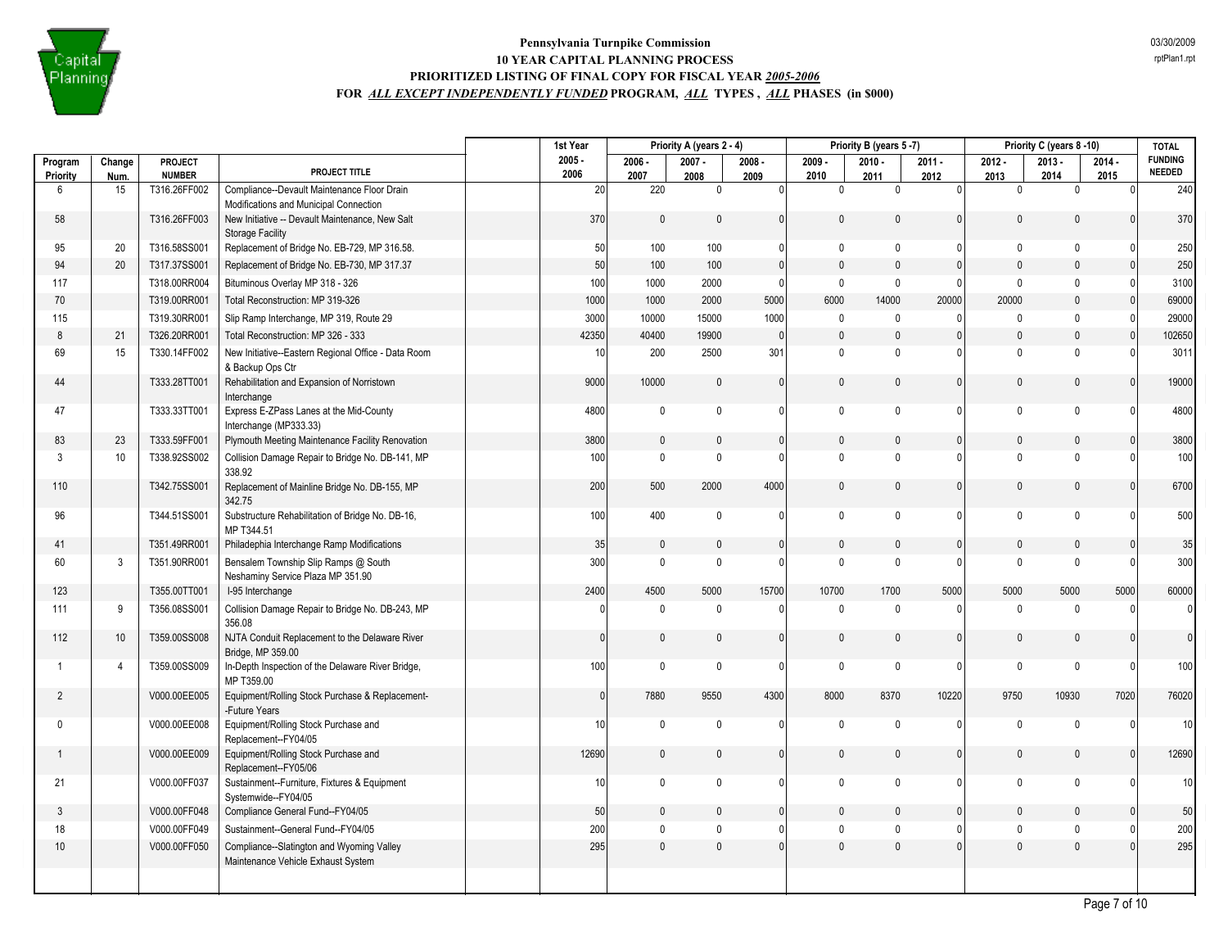

|                         |                |                          |                                                                                 | 1st Year         |                  | Priority A (years 2 - 4) |                  |                  | Priority B (years 5-7) |                  |                  | Priority C (years 8-10) |                  | <b>TOTAL</b>                    |
|-------------------------|----------------|--------------------------|---------------------------------------------------------------------------------|------------------|------------------|--------------------------|------------------|------------------|------------------------|------------------|------------------|-------------------------|------------------|---------------------------------|
| Program<br>Priority     | Change<br>Num. | PROJECT<br><b>NUMBER</b> | PROJECT TITLE                                                                   | $2005 -$<br>2006 | $2006 -$<br>2007 | $2007 -$<br>2008         | $2008 -$<br>2009 | $2009 -$<br>2010 | $2010 -$<br>2011       | $2011 -$<br>2012 | $2012 -$<br>2013 | $2013 -$<br>2014        | $2014 -$<br>2015 | <b>FUNDING</b><br><b>NEEDED</b> |
| 6                       | 15             | T316.26FF002             | Compliance--Devault Maintenance Floor Drain                                     | 20               | 220              | 0                        | $\overline{0}$   | $\mathbf 0$      | $\mathbf{0}$           | $\Omega$         | $\mathbf 0$      | $\mathbf{0}$            | $\Omega$         | 240                             |
|                         |                |                          | Modifications and Municipal Connection                                          |                  |                  |                          |                  |                  |                        |                  |                  |                         |                  |                                 |
| 58                      |                | T316.26FF003             | New Initiative -- Devault Maintenance, New Salt<br><b>Storage Facility</b>      | 370              | $\mathbf{0}$     | 0                        | 0                | $\mathbf{0}$     | $\mathbf{0}$           | $\mathbf{0}$     | $\mathbf{0}$     | $\mathbf{0}$            | $\Omega$         | 370                             |
| 95                      | 20             | T316.58SS001             | Replacement of Bridge No. EB-729, MP 316.58.                                    | 50               | 100              | 100                      | 0                | $\mathbf 0$      | $\mathbf 0$            | $\Omega$         | $\mathbf 0$      | $\mathbf{0}$            | $\Omega$         | 250                             |
| 94                      | 20             | T317.37SS001             | Replacement of Bridge No. EB-730, MP 317.37                                     | 50               | 100              | 100                      | $\mathbf{0}$     | $\mathbf 0$      | $\mathbf 0$            | $\mathbf{0}$     | $\mathbf{0}$     | $\mathbf 0$             | $\Omega$         | 250                             |
| 117                     |                | T318.00RR004             | Bituminous Overlay MP 318 - 326                                                 | 100              | 1000             | 2000                     | $\Omega$         | $\mathbf 0$      | $\mathbf 0$            | $\mathbf{0}$     | $\mathbf 0$      | $\mathbf{0}$            | $\Omega$         | 3100                            |
| 70                      |                | T319.00RR001             | Total Reconstruction: MP 319-326                                                | 1000             | 1000             | 2000                     | 5000             | 6000             | 14000                  | 20000            | 20000            | $\mathbf 0$             | $\mathbf{0}$     | 69000                           |
| 115                     |                | T319.30RR001             | Slip Ramp Interchange, MP 319, Route 29                                         | 3000             | 10000            | 15000                    | 1000             | $\mathbf 0$      | $\mathbf 0$            | 0                | $\mathbf 0$      | $\mathbf{0}$            | $\Omega$         | 29000                           |
| 8                       | 21             | T326.20RR001             | Total Reconstruction: MP 326 - 333                                              | 42350            | 40400            | 19900                    | $\mathbf{0}$     | $\mathbf{0}$     | $\mathbf{0}$           | $\mathbf{0}$     | $\mathbf{0}$     | $\mathbf{0}$            | $\Omega$         | 102650                          |
| 69                      | 15             | T330.14FF002             | New Initiative--Eastern Regional Office - Data Room<br>& Backup Ops Ctr         | 10               | 200              | 2500                     | 301              | $\mathbf 0$      | $\mathbf{0}$           | $\Omega$         | $\mathbf{0}$     | $\Omega$                | $\Omega$         | 3011                            |
| 44                      |                | T333.28TT001             | Rehabilitation and Expansion of Norristown<br>Interchange                       | 9000             | 10000            | 0                        | $\mathbf{0}$     | $\mathbf{0}$     | $\mathbf{0}$           | $\mathbf{0}$     | $\mathbf{0}$     | $\mathbf{0}$            | $\Omega$         | 19000                           |
| 47                      |                | T333.33TT001             | Express E-ZPass Lanes at the Mid-County<br>Interchange (MP333.33)               | 4800             | $\mathbf 0$      | $\mathbf 0$              | $\mathbf{0}$     | $\mathbf 0$      | $\mathbf 0$            | $\mathbf{0}$     | $\mathbf 0$      | $\mathbf{0}$            | $\Omega$         | 4800                            |
| 83                      | 23             | T333.59FF001             | Plymouth Meeting Maintenance Facility Renovation                                | 3800             | $\mathbf 0$      | $\mathbf{0}$             | $\mathbf{0}$     | 0                | $\mathbf{0}$           | $\mathbf{0}$     | $\mathbf{0}$     | $\mathbf{0}$            | $\Omega$         | 3800                            |
| 3                       | 10             | T338.92SS002             | Collision Damage Repair to Bridge No. DB-141, MP<br>338.92                      | 100              | $\mathbf{0}$     | $\Omega$                 | $\Omega$         | $\Omega$         | $\Omega$               | $\Omega$         | $\Omega$         | $\Omega$                | $\Omega$         | 100                             |
| 110                     |                | T342.75SS001             | Replacement of Mainline Bridge No. DB-155, MP<br>342.75                         | 200              | 500              | 2000                     | 4000             | $\mathbf{0}$     | $\mathbf{0}$           | $\mathbf{0}$     | $\pmb{0}$        | $\mathbf{0}$            | $\Omega$         | 6700                            |
| 96                      |                | T344.51SS001             | Substructure Rehabilitation of Bridge No. DB-16,<br>MP T344.51                  | 100              | 400              | 0                        | $\mathbf{0}$     | 0                | $\mathbf{0}$           | $\mathbf{0}$     | $\mathbf 0$      | $\mathbf 0$             | $\Omega$         | 500                             |
| 41                      |                | T351.49RR001             | Philadephia Interchange Ramp Modifications                                      | 35               | $\mathbf 0$      | $\mathbf{0}$             | $\mathbf{0}$     | $\mathbf 0$      | $\mathbf{0}$           | $\mathbf{0}$     | $\mathbf{0}$     | $\Omega$                | $\mathbf{0}$     | 35                              |
| 60                      | 3              | T351.90RR001             | Bensalem Township Slip Ramps @ South<br>Neshaminy Service Plaza MP 351.90       | 300              | $\mathsf 0$      | $\mathbf 0$              | $\Omega$         | $\mathbf 0$      | $\mathbf 0$            | $\Omega$         | $\mathbf 0$      | $\mathbf 0$             | $\Omega$         | 300                             |
| 123                     |                | T355.00TT001             | I-95 Interchange                                                                | 2400             | 4500             | 5000                     | 15700            | 10700            | 1700                   | 5000             | 5000             | 5000                    | 5000             | 60000                           |
| 111                     | 9              | T356.08SS001             | Collision Damage Repair to Bridge No. DB-243, MP<br>356.08                      | $\Omega$         | $\mathbf{0}$     | $\mathbf 0$              | $\mathbf{0}$     | $\mathbf{0}$     | $\mathbf 0$            | $\Omega$         | $\mathbf{0}$     | $\Omega$                | $\Omega$         | $\mathbf{0}$                    |
| 112                     | 10             | T359.00SS008             | NJTA Conduit Replacement to the Delaware River<br>Bridge, MP 359.00             | $\mathbf{0}$     | $\mathsf 0$      | $\mathbf{0}$             | $\mathbf{0}$     | $\mathbf{0}$     | $\mathbf{0}$           | $\mathbf{0}$     | $\pmb{0}$        | $\Omega$                | $\Omega$         | $\overline{0}$                  |
| $\overline{\mathbf{1}}$ | $\overline{4}$ | T359.00SS009             | In-Depth Inspection of the Delaware River Bridge,<br>MP T359.00                 | 100              | $\mathsf 0$      | $\pmb{0}$                | $\mathbf{0}$     | $\mathbf 0$      | $\mathbf 0$            | 0                | $\mathbf 0$      | $\mathbf{0}$            | $\Omega$         | 100                             |
| $\overline{2}$          |                | V000.00EE005             | Equipment/Rolling Stock Purchase & Replacement-<br>-Future Years                | $\mathbf{0}$     | 7880             | 9550                     | 4300             | 8000             | 8370                   | 10220            | 9750             | 10930                   | 7020             | 76020                           |
| $\mathbf 0$             |                | V000.00EE008             | Equipment/Rolling Stock Purchase and<br>Replacement--FY04/05                    | 10 <sup>1</sup>  | $\mathbf 0$      | $\mathbf 0$              | $\mathbf{0}$     | $\mathbf 0$      | $\mathbf 0$            | $\mathbf{0}$     | $\mathbf 0$      | $\mathbf{0}$            | $\Omega$         | 10 <sup>1</sup>                 |
|                         |                | V000.00EE009             | Equipment/Rolling Stock Purchase and<br>Replacement--FY05/06                    | 12690            | $\mathbf 0$      | $\mathbf{0}$             | 0                | 0                | $\mathbf{0}$           | $\mathbf{0}$     | $\mathbf{0}$     | $\mathbf{0}$            | $\Omega$         | 12690                           |
| 21                      |                | V000.00FF037             | Sustainment--Furniture, Fixtures & Equipment<br>Systemwide--FY04/05             | 10 <sup>1</sup>  | $\mathbf 0$      | $\mathbf 0$              | $\mathbf{0}$     | $\mathbf 0$      | $\mathbf{0}$           | $\Omega$         | $\mathbf 0$      | $\mathbf{0}$            | $\Omega$         | 10 <sup>1</sup>                 |
| $\mathbf{3}$            |                | V000.00FF048             | Compliance General Fund--FY04/05                                                | 50               | $\mathsf 0$      | $\mathbf{0}$             | $\Omega$         | $\mathbf{0}$     | $\Omega$               | $\Omega$         | $\mathbf{0}$     | $\Omega$                | $\Omega$         | 50                              |
| 18                      |                | V000.00FF049             | Sustainment--General Fund--FY04/05                                              | 200              | $\mathbf 0$      | $\mathbf{0}$             | 0                | $\mathbf 0$      | $\mathbf 0$            | $\mathbf{0}$     | $\mathbf 0$      | $\mathbf 0$             | $\mathbf{0}$     | 200                             |
| $10$                    |                | V000.00FF050             | Compliance--Slatington and Wyoming Valley<br>Maintenance Vehicle Exhaust System | 295              | $\pmb{0}$        | $\mathbf{0}$             | $\mathbf{0}$     | $\mathbf{0}$     | $\mathbf{0}$           | $\mathbf{0}$     | $\pmb{0}$        | $\mathbf{0}$            | $\Omega$         | 295                             |
|                         |                |                          |                                                                                 |                  |                  |                          |                  |                  |                        |                  |                  |                         |                  |                                 |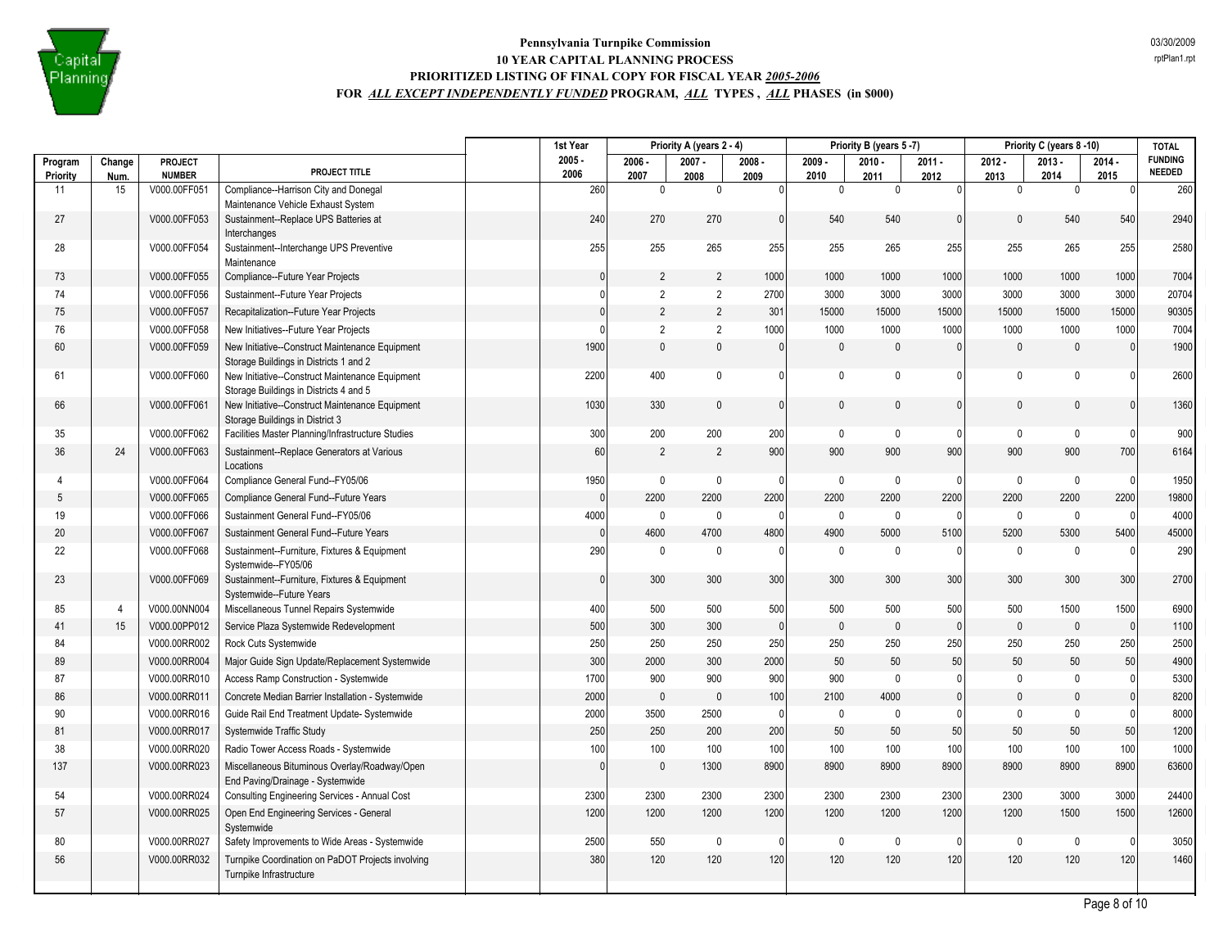

|                |                |                               |                                                                                           | 1st Year     |                     | Priority A (years 2 - 4) |            |                      | Priority B (years 5-7) |                      |                     | Priority C (years 8 -10) |                  | <b>TOTAL</b>                    |
|----------------|----------------|-------------------------------|-------------------------------------------------------------------------------------------|--------------|---------------------|--------------------------|------------|----------------------|------------------------|----------------------|---------------------|--------------------------|------------------|---------------------------------|
| Program        | Change         | <b>PROJECT</b>                | PROJECT TITLE                                                                             | $2005 -$     | $2006 -$            | $2007 -$                 | $2008 -$   | $2009 -$             | $2010 -$               | $2011 -$             | $2012 -$            | $2013 -$                 | $2014 -$         | <b>FUNDING</b><br><b>NEEDED</b> |
| Priority<br>11 | Num.<br>15     | <b>NUMBER</b><br>V000.00FF051 | Compliance--Harrison City and Donegal                                                     | 2006<br>260  | 2007<br>$\mathbf 0$ | 2008<br>0                | 2009<br> 0 | 2010<br>$\mathbf{0}$ | 2011<br>$\mathbf{0}$   | 2012<br>$\mathbf{0}$ | 2013<br>$\mathbf 0$ | 2014<br>$\mathbf{0}$     | 2015<br>$\Omega$ | 260                             |
|                |                |                               | Maintenance Vehicle Exhaust System                                                        |              |                     |                          |            |                      |                        |                      |                     |                          |                  |                                 |
| 27             |                | V000.00FF053                  | Sustainment--Replace UPS Batteries at<br>Interchanges                                     | 240          | 270                 | 270                      | $\Omega$   | 540                  | 540                    | $\mathbf{0}$         | $\Omega$            | 540                      | 540              | 2940                            |
| 28             |                | V000.00FF054                  | Sustainment--Interchange UPS Preventive<br>Maintenance                                    | 255          | 255                 | 265                      | 255        | 255                  | 265                    | 255                  | 255                 | 265                      | 255              | 2580                            |
| 73             |                | V000.00FF055                  | Compliance--Future Year Projects                                                          | $\mathbf{0}$ | 2                   | $\overline{2}$           | 1000       | 1000                 | 1000                   | 1000                 | 1000                | 1000                     | 1000             | 7004                            |
| 74             |                | V000.00FF056                  | Sustainment--Future Year Projects                                                         | $\Omega$     | 2                   | $\overline{2}$           | 2700       | 3000                 | 3000                   | 3000                 | 3000                | 3000                     | 3000             | 20704                           |
| 75             |                | V000.00FF057                  | Recapitalization--Future Year Projects                                                    | $\Omega$     | $\overline{2}$      | $\overline{2}$           | 301        | 15000                | 15000                  | 15000                | 15000               | 15000                    | 15000            | 90305                           |
| 76             |                | V000.00FF058                  | New Initiatives--Future Year Projects                                                     | $\Omega$     | 2                   | $\overline{2}$           | 1000       | 1000                 | 1000                   | 1000                 | 1000                | 1000                     | 1000             | 7004                            |
| 60             |                | V000.00FF059                  | New Initiative--Construct Maintenance Equipment<br>Storage Buildings in Districts 1 and 2 | 1900         | $\pmb{0}$           | $\mathbf{0}$             | $\Omega$   | $\mathbf{0}$         | $\mathbf{0}$           | $\mathbf{0}$         | $\mathbf{0}$        | $\mathbf 0$              | $\mathbf{0}$     | 1900                            |
| 61             |                | V000.00FF060                  | New Initiative--Construct Maintenance Equipment<br>Storage Buildings in Districts 4 and 5 | 2200         | 400                 | $\mathbf 0$              | $\Omega$   | $\mathbf 0$          | $\mathbf{0}$           | $\mathbf{0}$         | $\mathbf 0$         | $\mathbf{0}$             |                  | 2600                            |
| 66             |                | V000.00FF061                  | New Initiative--Construct Maintenance Equipment<br>Storage Buildings in District 3        | 1030         | 330                 | $\mathbf{0}$             |            | $\Omega$             | $\mathbf{0}$           | $\mathbf{0}$         | $\mathbf{0}$        | $\mathbf{0}$             |                  | 1360                            |
| 35             |                | V000.00FF062                  | Facilities Master Planning/Infrastructure Studies                                         | 300          | 200                 | 200                      | 200        | $\mathbf 0$          | $\mathbf 0$            | $\Omega$             | $\mathbf{0}$        | $\mathbf{0}$             | $\Omega$         | 900                             |
| 36             | 24             | V000.00FF063                  | Sustainment--Replace Generators at Various<br>Locations                                   | 60           | $\overline{2}$      | $\overline{2}$           | 900        | 900                  | 900                    | 900                  | 900                 | 900                      | 700              | 6164                            |
| $\overline{4}$ |                | V000.00FF064                  | Compliance General Fund--FY05/06                                                          | 1950         | $\mathbf 0$         | $\mathbf{0}$             | $\Omega$   | $\mathbf 0$          | $\mathbf 0$            | $\Omega$             | $\mathbf 0$         | $\mathbf{0}$             | $\Omega$         | 1950                            |
| 5              |                | V000.00FF065                  | Compliance General Fund--Future Years                                                     | $\mathbf{0}$ | 2200                | 2200                     | 2200       | 2200                 | 2200                   | 2200                 | 2200                | 2200                     | 2200             | 19800                           |
| 19             |                | V000.00FF066                  | Sustainment General Fund--FY05/06                                                         | 4000         | $\mathbf 0$         | $\mathbf 0$              | $\Omega$   | $\mathbf 0$          | $\mathbf{0}$           | $\Omega$             | $\mathbf{0}$        | $\mathbf{0}$             | $\Omega$         | 4000                            |
| 20             |                | V000.00FF067                  | Sustainment General Fund--Future Years                                                    | $\mathbf{0}$ | 4600                | 4700                     | 4800       | 4900                 | 5000                   | 5100                 | 5200                | 5300                     | 5400             | 45000                           |
| 22             |                | V000.00FF068                  | Sustainment--Furniture, Fixtures & Equipment<br>Systemwide--FY05/06                       | 290          | $\mathbf 0$         | $\mathbf{0}$             | $\Omega$   | $\mathbf 0$          | $\mathbf 0$            | $\Omega$             | $\mathbf{0}$        | $\mathbf{0}$             | $\Omega$         | 290                             |
| 23             |                | V000.00FF069                  | Sustainment--Furniture, Fixtures & Equipment<br>Systemwide--Future Years                  | $\mathbf{0}$ | 300                 | 300                      | 300        | 300                  | 300                    | 300                  | 300                 | 300                      | 300              | 2700                            |
| 85             | $\overline{4}$ | V000.00NN004                  | Miscellaneous Tunnel Repairs Systemwide                                                   | 400          | 500                 | 500                      | 500        | 500                  | 500                    | 500                  | 500                 | 1500                     | 1500             | 6900                            |
| 41             | 15             | V000.00PP012                  | Service Plaza Systemwide Redevelopment                                                    | 500          | 300                 | 300                      | $\Omega$   | $\mathbf{0}$         | $\mathbf{0}$           | $\overline{0}$       | $\mathbf{0}$        | $\mathbf{0}$             | $\mathbf{0}$     | 1100                            |
| 84             |                | V000.00RR002                  | Rock Cuts Systemwide                                                                      | 250          | 250                 | 250                      | 250        | 250                  | 250                    | 250                  | 250                 | 250                      | 250              | 2500                            |
| 89             |                | V000.00RR004                  | Major Guide Sign Update/Replacement Systemwide                                            | 300          | 2000                | 300                      | 2000       | 50                   | 50                     | 50                   | 50                  | 50                       | 50               | 4900                            |
| 87             |                | V000.00RR010                  | Access Ramp Construction - Systemwide                                                     | 1700         | 900                 | 900                      | 900        | 900                  | $\mathbf 0$            | $\mathbf{0}$         | $\mathbf 0$         | $\mathbf 0$              | $\Omega$         | 5300                            |
| 86             |                | V000.00RR011                  | Concrete Median Barrier Installation - Systemwide                                         | 2000         | $\mathbf 0$         | $\Omega$                 | 100        | 2100                 | 4000                   | $\mathbf{0}$         | $\Omega$            | $\mathbf{0}$             | $\Omega$         | 8200                            |
| 90             |                | V000.00RR016                  | Guide Rail End Treatment Update- Systemwide                                               | 2000         | 3500                | 2500                     | $\Omega$   | $\mathbf{0}$         | $\mathbf{0}$           | $\Omega$             | $\mathbf{0}$        | $\mathbf{0}$             | $\Omega$         | 8000                            |
| 81             |                | V000.00RR017                  | Systemwide Traffic Study                                                                  | 250          | 250                 | 200                      | 200        | 50                   | 50                     | 50                   | 50                  | 50                       | 50               | 1200                            |
| 38             |                | V000.00RR020                  | Radio Tower Access Roads - Systemwide                                                     | 100          | 100                 | 100                      | 100        | 100                  | 100                    | 100                  | 100                 | 100                      | 100              | 1000                            |
| 137            |                | V000.00RR023                  | Miscellaneous Bituminous Overlay/Roadway/Open<br>End Paving/Drainage - Systemwide         | $\mathbf{0}$ | $\mathbf{0}$        | 1300                     | 8900       | 8900                 | 8900                   | 8900                 | 8900                | 8900                     | 8900             | 63600                           |
| 54             |                | V000.00RR024                  | Consulting Engineering Services - Annual Cost                                             | 2300         | 2300                | 2300                     | 2300       | 2300                 | 2300                   | 2300                 | 2300                | 3000                     | 3000             | 24400                           |
| 57             |                | V000.00RR025                  | Open End Engineering Services - General<br>Systemwide                                     | 1200         | 1200                | 1200                     | 1200       | 1200                 | 1200                   | 1200                 | 1200                | 1500                     | 1500             | 12600                           |
| 80             |                | V000.00RR027                  | Safety Improvements to Wide Areas - Systemwide                                            | 2500         | 550                 | $\mathbf{0}$             | $\Omega$   | 0                    | 0                      | $\mathbf{0}$         | 0                   | $\mathbf 0$              | $\Omega$         | 3050                            |
| 56             |                | V000.00RR032                  | Turnpike Coordination on PaDOT Projects involving<br>Turnpike Infrastructure              | 380          | 120                 | 120                      | 120        | 120                  | 120                    | 120                  | 120                 | 120                      | 120              | 1460                            |
|                |                |                               |                                                                                           |              |                     |                          |            |                      |                        |                      |                     |                          |                  |                                 |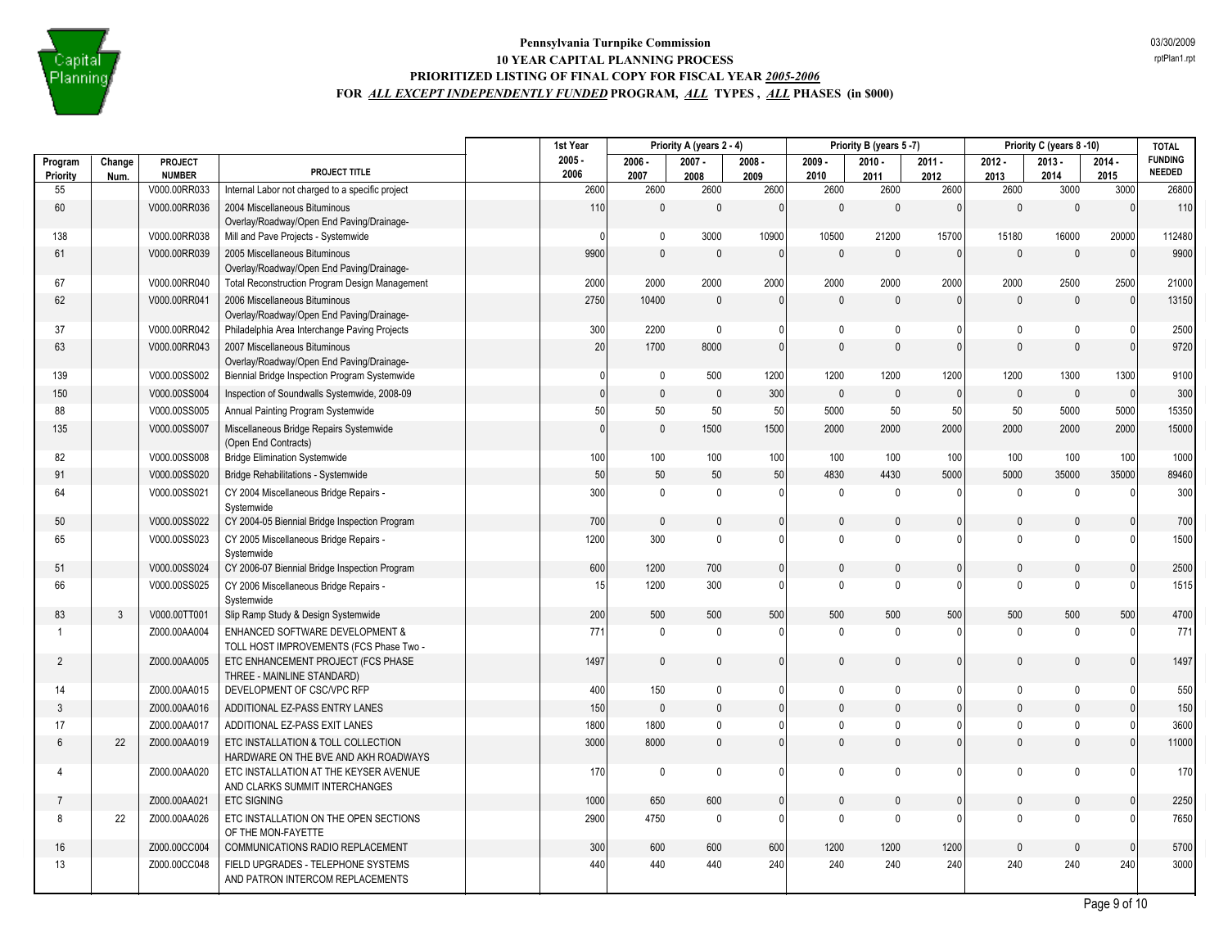

|                |              |                               |                                                                            | 1st Year     | Priority A (years 2 - 4) |              |                | Priority B (years 5-7) |              |                | Priority C (years 8-10) |              | <b>TOTAL</b>   |                                 |
|----------------|--------------|-------------------------------|----------------------------------------------------------------------------|--------------|--------------------------|--------------|----------------|------------------------|--------------|----------------|-------------------------|--------------|----------------|---------------------------------|
| Program        | Change       | PROJECT                       | PROJECT TITLE                                                              | $2005 -$     | $2006 -$                 | $2007 -$     | $2008 -$       | $2009 -$               | $2010 -$     | $2011 -$       | $2012 -$                | $2013 -$     | $2014 -$       | <b>FUNDING</b><br><b>NEEDED</b> |
| Priority<br>55 | Num.         | <b>NUMBER</b><br>V000.00RR033 | Internal Labor not charged to a specific project                           | 2006<br>2600 | 2007<br>2600             | 2008<br>2600 | 2009<br>2600   | 2010<br>2600           | 2011<br>2600 | 2012<br>2600   | 2013<br>2600            | 2014<br>3000 | 2015<br>3000   | 26800                           |
| 60             |              | V000.00RR036                  | 2004 Miscellaneous Bituminous                                              | 110          | $\mathbf{0}$             | $\mathbf{0}$ | $\Omega$       | $\Omega$               | $\mathbf{0}$ | $\mathbf{0}$   | $\mathbf{0}$            | $\mathbf{0}$ | $\Omega$       | 110                             |
|                |              |                               | Overlay/Roadway/Open End Paving/Drainage-                                  |              |                          |              |                |                        |              |                |                         |              |                |                                 |
| 138            |              | V000.00RR038                  | Mill and Pave Projects - Systemwide                                        | $\Omega$     | $\mathbf 0$              | 3000         | 10900          | 10500                  | 21200        | 15700          | 15180                   | 16000        | 20000          | 112480                          |
| 61             |              | V000.00RR039                  | 2005 Miscellaneous Bituminous                                              | 9900         | $\mathbf{0}$             | $\Omega$     | $\Omega$       | $\Omega$               | $\Omega$     | $\Omega$       | $\Omega$                | $\mathbf{0}$ | $\cap$         | 9900                            |
|                |              |                               | Overlay/Roadway/Open End Paving/Drainage-                                  |              |                          |              |                |                        |              |                |                         |              |                |                                 |
| 67             |              | V000.00RR040                  | Total Reconstruction Program Design Management                             | 2000         | 2000                     | 2000         | 2000           | 2000                   | 2000         | 2000           | 2000                    | 2500         | 2500           | 21000                           |
| 62             |              | V000.00RR041                  | 2006 Miscellaneous Bituminous<br>Overlay/Roadway/Open End Paving/Drainage- | 2750         | 10400                    | $\mathbf{0}$ | $\Omega$       | $\mathbf{0}$           | $\mathbf{0}$ | $\mathbf{0}$   | $\mathbf{0}$            | $\mathbf{0}$ | $\Omega$       | 13150                           |
| 37             |              | V000.00RR042                  | Philadelphia Area Interchange Paving Projects                              | 300          | 2200                     | $\mathbf 0$  | 0              | $\mathbf{0}$           | $\mathbf{0}$ | $\mathbf{0}$   | $\mathbf 0$             | $\mathbf{0}$ |                | 2500                            |
| 63             |              | V000.00RR043                  | 2007 Miscellaneous Bituminous                                              | 20           | 1700                     | 8000         | $\mathbf{0}$   | $\mathbf{0}$           | $\Omega$     | $\mathbf{0}$   | $\Omega$                | $\mathbf{0}$ | $\Omega$       | 9720                            |
|                |              |                               | Overlay/Roadway/Open End Paving/Drainage-                                  |              |                          |              |                |                        |              |                |                         |              |                |                                 |
| 139            |              | V000.00SS002                  | Biennial Bridge Inspection Program Systemwide                              | $\Omega$     | $\mathbf 0$              | 500          | 1200           | 1200                   | 1200         | 1200           | 1200                    | 1300         | 1300           | 9100                            |
| 150            |              | V000.00SS004                  | Inspection of Soundwalls Systemwide, 2008-09                               | $\mathbf{0}$ | $\mathbf 0$              | $\mathbf{0}$ | 300            | $\mathbf{0}$           | $\mathbf{0}$ | $\overline{0}$ | $\mathbf{0}$            | $\mathbf{0}$ | $\overline{0}$ | 300                             |
| 88             |              | V000.00SS005                  | Annual Painting Program Systemwide                                         | 50           | 50                       | 50           | 50             | 5000                   | 50           | 50             | 50                      | 5000         | 5000           | 15350                           |
| 135            |              | V000.00SS007                  | Miscellaneous Bridge Repairs Systemwide                                    | $\mathbf{0}$ | $\mathbf 0$              | 1500         | 1500           | 2000                   | 2000         | 2000           | 2000                    | 2000         | 2000           | 15000                           |
| 82             |              | V000.00SS008                  | (Open End Contracts)<br><b>Bridge Elimination Systemwide</b>               | 100          | 100                      | 100          | 100            | 100                    | 100          | 100            | 100                     | 100          | 100            | 1000                            |
| 91             |              | V000.00SS020                  | Bridge Rehabilitations - Systemwide                                        | 50           | 50                       | 50           | 50             | 4830                   | 4430         | 5000           | 5000                    | 35000        | 35000          | 89460                           |
| 64             |              | V000.00SS021                  | CY 2004 Miscellaneous Bridge Repairs -                                     | 300          | $\mathbf 0$              | $\mathbf 0$  | 0              | $\mathbf{0}$           | $\mathbf 0$  | $\Omega$       | $\mathbf 0$             | $\mathbf 0$  |                | 300                             |
|                |              |                               | Systemwide                                                                 |              |                          |              |                |                        |              |                |                         |              |                |                                 |
| 50             |              | V000.00SS022                  | CY 2004-05 Biennial Bridge Inspection Program                              | 700          | $\mathbf{0}$             | $\mathbf{0}$ | $\mathbf{0}$   | 0                      | $\mathbf{0}$ | $\mathbf{0}$   | $\mathbf{0}$            | $\mathbf{0}$ |                | 700                             |
| 65             |              | V000.00SS023                  | CY 2005 Miscellaneous Bridge Repairs -<br>Systemwide                       | 1200         | 300                      | $\theta$     | $\Omega$       | $\Omega$               | $\Omega$     | $\Omega$       | $\Omega$                | $\Omega$     |                | 1500                            |
| 51             |              | V000.00SS024                  | CY 2006-07 Biennial Bridge Inspection Program                              | 600          | 1200                     | 700          | $\mathbf{0}$   | 0                      | $\Omega$     | $\mathbf{0}$   | $\mathbf{0}$            | $\mathbf{0}$ | $\Omega$       | 2500                            |
| 66             |              | V000.00SS025                  | CY 2006 Miscellaneous Bridge Repairs -<br>Systemwide                       | 15           | 1200                     | 300          | $\Omega$       | $\mathbf{0}$           | $\Omega$     | $\mathbf{0}$   | $\mathbf{0}$            | $\mathbf{0}$ |                | 1515                            |
| 83             | $\mathbf{3}$ | V000.00TT001                  | Slip Ramp Study & Design Systemwide                                        | 200          | 500                      | 500          | 500            | 500                    | 500          | 500            | 500                     | 500          | 500            | 4700                            |
| $\overline{1}$ |              | Z000.00AA004                  | <b>ENHANCED SOFTWARE DEVELOPMENT &amp;</b>                                 | 771          | $\mathbf 0$              | $\mathbf{0}$ | $\Omega$       | $\mathbf 0$            | $\mathbf{0}$ | $\mathbf{0}$   | $\mathbf{0}$            | $\mathbf{0}$ |                | 771                             |
|                |              |                               | TOLL HOST IMPROVEMENTS (FCS Phase Two -                                    |              |                          |              |                |                        |              |                |                         |              |                |                                 |
| $\overline{2}$ |              | Z000.00AA005                  | ETC ENHANCEMENT PROJECT (FCS PHASE<br>THREE - MAINLINE STANDARD)           | 1497         | $\mathbf{0}$             | $\mathbf{0}$ | $\overline{0}$ | 0                      | $\mathbf{0}$ | $\mathbf{0}$   | $\mathbf{0}$            | $\mathbf{0}$ |                | 1497                            |
| 14             |              | Z000.00AA015                  | DEVELOPMENT OF CSC/VPC RFP                                                 | 400          | 150                      | $\mathbf 0$  | $\Omega$       | $\mathbf 0$            | $\Omega$     | $\mathbf{0}$   | $\mathbf 0$             | $\mathbf{0}$ |                | 550                             |
| 3              |              | Z000.00AA016                  | ADDITIONAL EZ-PASS ENTRY LANES                                             | 150          | $\mathbf 0$              | $\mathbf 0$  | $\mathbf{0}$   | 0                      | $\Omega$     | $\mathbf{0}$   | $\mathbf{0}$            | $\mathbf{0}$ |                | 150                             |
| 17             |              | Z000.00AA017                  | ADDITIONAL EZ-PASS EXIT LANES                                              | 1800         | 1800                     | $\mathbf 0$  | $\Omega$       | $\Omega$               | $\Omega$     | $\mathbf{0}$   | $\mathbf 0$             | $\mathbf{0}$ |                | 3600                            |
| 6              | 22           | Z000.00AA019                  | ETC INSTALLATION & TOLL COLLECTION                                         | 3000         | 8000                     | $\pmb{0}$    | $\overline{0}$ | $\overline{0}$         | $\mathbf{0}$ | $\mathbf{0}$   | $\mathbf{0}$            | $\mathbf{0}$ | $\Omega$       | 11000                           |
|                |              |                               | HARDWARE ON THE BVE AND AKH ROADWAYS                                       |              |                          |              |                |                        |              |                |                         |              |                |                                 |
| 4              |              | Z000.00AA020                  | ETC INSTALLATION AT THE KEYSER AVENUE<br>AND CLARKS SUMMIT INTERCHANGES    | 170          | $\mathbf 0$              | $\mathbf 0$  | 0              | $\mathbf 0$            | $\mathbf{0}$ | $\mathbf{0}$   | $\mathbf 0$             | $\mathbf 0$  |                | 170                             |
| -7             |              | Z000.00AA021                  | <b>ETC SIGNING</b>                                                         | 1000         | 650                      | 600          | $\mathbf{0}$   | 0                      | $\mathbf{0}$ | $\mathbf{0}$   | $\mathbf{0}$            | $\mathbf{0}$ | $\Omega$       | 2250                            |
| 8              | 22           | Z000.00AA026                  | ETC INSTALLATION ON THE OPEN SECTIONS                                      | 2900         | 4750                     | $\Omega$     | $\Omega$       | $\mathbf{0}$           | $\Omega$     | $\mathbf{0}$   | $\mathbf{0}$            | $\mathbf{0}$ | $\Omega$       | 7650                            |
|                |              |                               | OF THE MON-FAYETTE                                                         |              |                          |              |                |                        |              |                |                         |              |                |                                 |
| 16             |              | Z000.00CC004                  | COMMUNICATIONS RADIO REPLACEMENT                                           | 300          | 600                      | 600          | 600            | 1200                   | 1200         | 1200           | $\Omega$                | $\mathbf{0}$ | $\Omega$       | 5700                            |
| 13             |              | Z000.00CC048                  | FIELD UPGRADES - TELEPHONE SYSTEMS                                         | 440          | 440                      | 440          | 240            | 240                    | 240          | 240            | 240                     | 240          | 240            | 3000                            |
|                |              |                               | AND PATRON INTERCOM REPLACEMENTS                                           |              |                          |              |                |                        |              |                |                         |              |                |                                 |